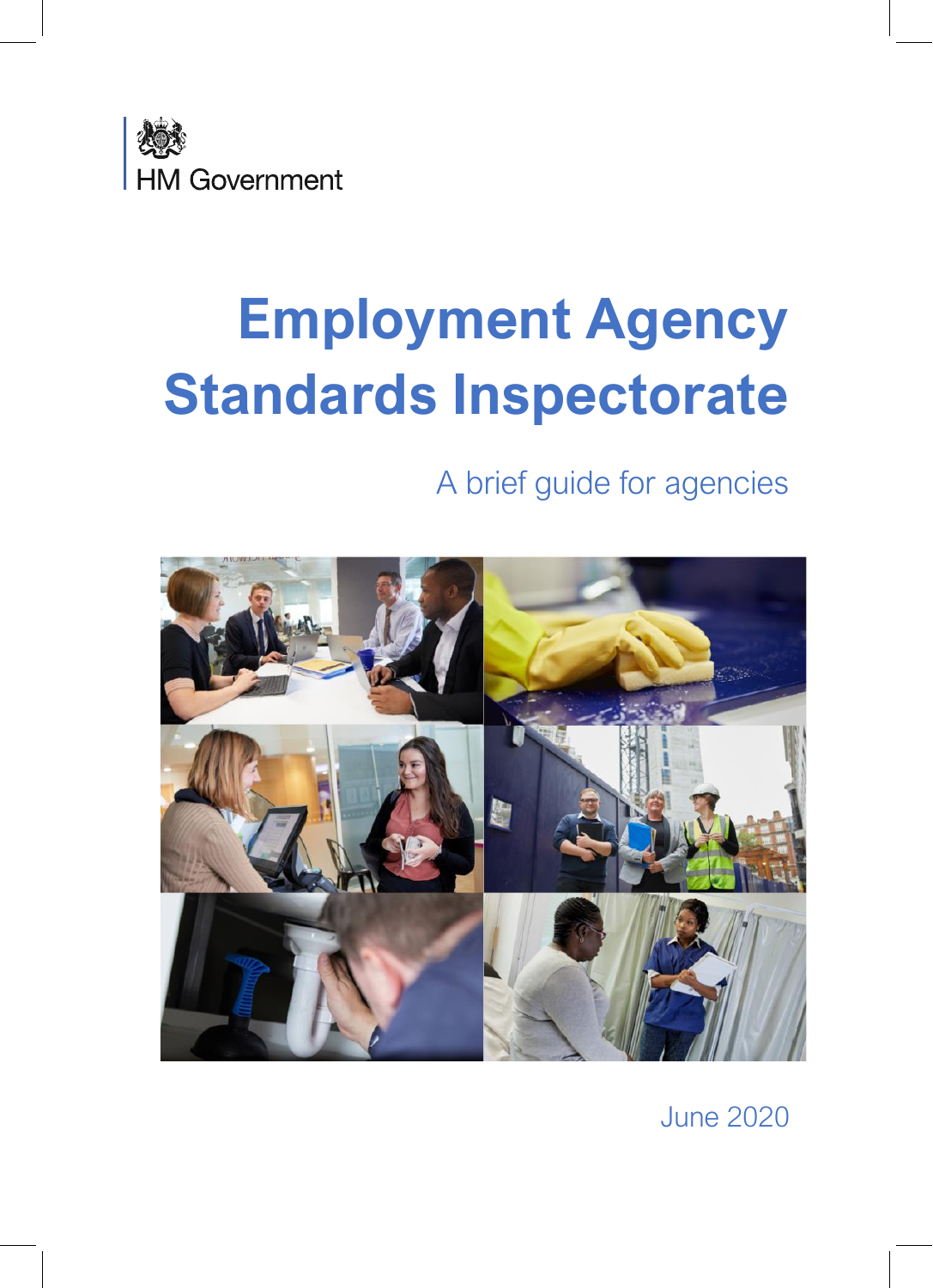

# **Employment Agency Standards Inspectorate**

A brief guide for agencies



June 2020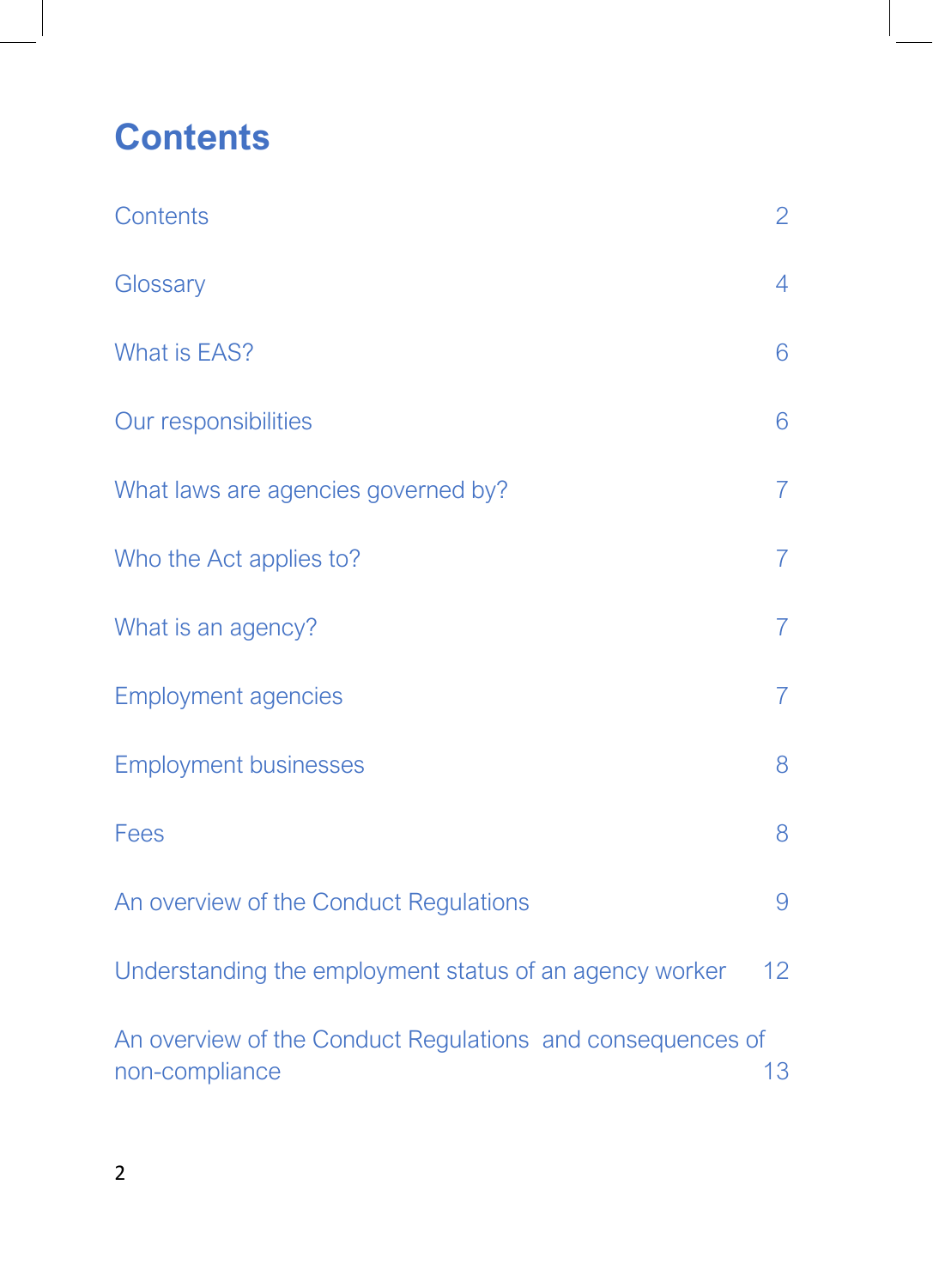# <span id="page-1-0"></span>**Contents**

| Contents                                                                     | $\overline{2}$ |
|------------------------------------------------------------------------------|----------------|
| Glossary                                                                     | $\overline{4}$ |
| What is EAS?                                                                 | 6              |
| Our responsibilities                                                         | 6              |
| What laws are agencies governed by?                                          | $\overline{7}$ |
| Who the Act applies to?                                                      | $\overline{7}$ |
| What is an agency?                                                           | $\overline{7}$ |
| <b>Employment agencies</b>                                                   | $\overline{7}$ |
| <b>Employment businesses</b>                                                 | 8              |
| Fees                                                                         | 8              |
| An overview of the Conduct Regulations                                       | 9              |
| Understanding the employment status of an agency worker                      | 12             |
| An overview of the Conduct Regulations and consequences of<br>non-compliance | 13             |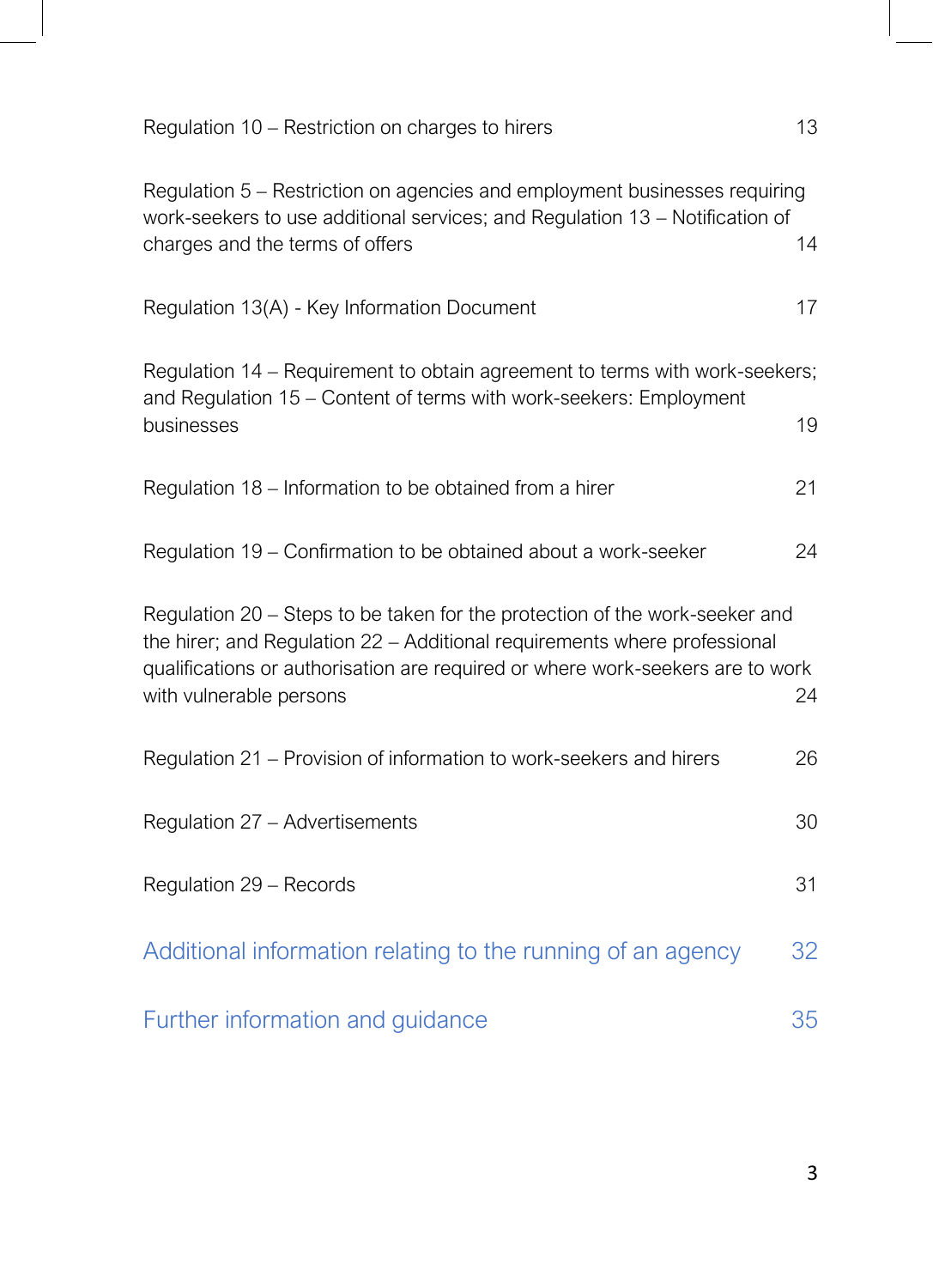<span id="page-2-0"></span>

| Regulation 10 - Restriction on charges to hirers                                                                                                                                                                                                                      | 13 |
|-----------------------------------------------------------------------------------------------------------------------------------------------------------------------------------------------------------------------------------------------------------------------|----|
| Regulation 5 – Restriction on agencies and employment businesses requiring<br>work-seekers to use additional services; and Regulation 13 - Notification of<br>charges and the terms of offers                                                                         | 14 |
| Regulation 13(A) - Key Information Document                                                                                                                                                                                                                           | 17 |
| Regulation 14 – Requirement to obtain agreement to terms with work-seekers;<br>and Regulation 15 - Content of terms with work-seekers: Employment<br>businesses                                                                                                       | 19 |
| Regulation 18 – Information to be obtained from a hirer                                                                                                                                                                                                               | 21 |
| Regulation 19 – Confirmation to be obtained about a work-seeker                                                                                                                                                                                                       | 24 |
| Regulation 20 – Steps to be taken for the protection of the work-seeker and<br>the hirer; and Regulation 22 - Additional requirements where professional<br>qualifications or authorisation are required or where work-seekers are to work<br>with vulnerable persons | 24 |
| Regulation 21 – Provision of information to work-seekers and hirers                                                                                                                                                                                                   | 26 |
| Regulation 27 - Advertisements                                                                                                                                                                                                                                        | 30 |
| Regulation 29 - Records                                                                                                                                                                                                                                               | 31 |
| Additional information relating to the running of an agency                                                                                                                                                                                                           | 32 |
| Further information and guidance                                                                                                                                                                                                                                      | 35 |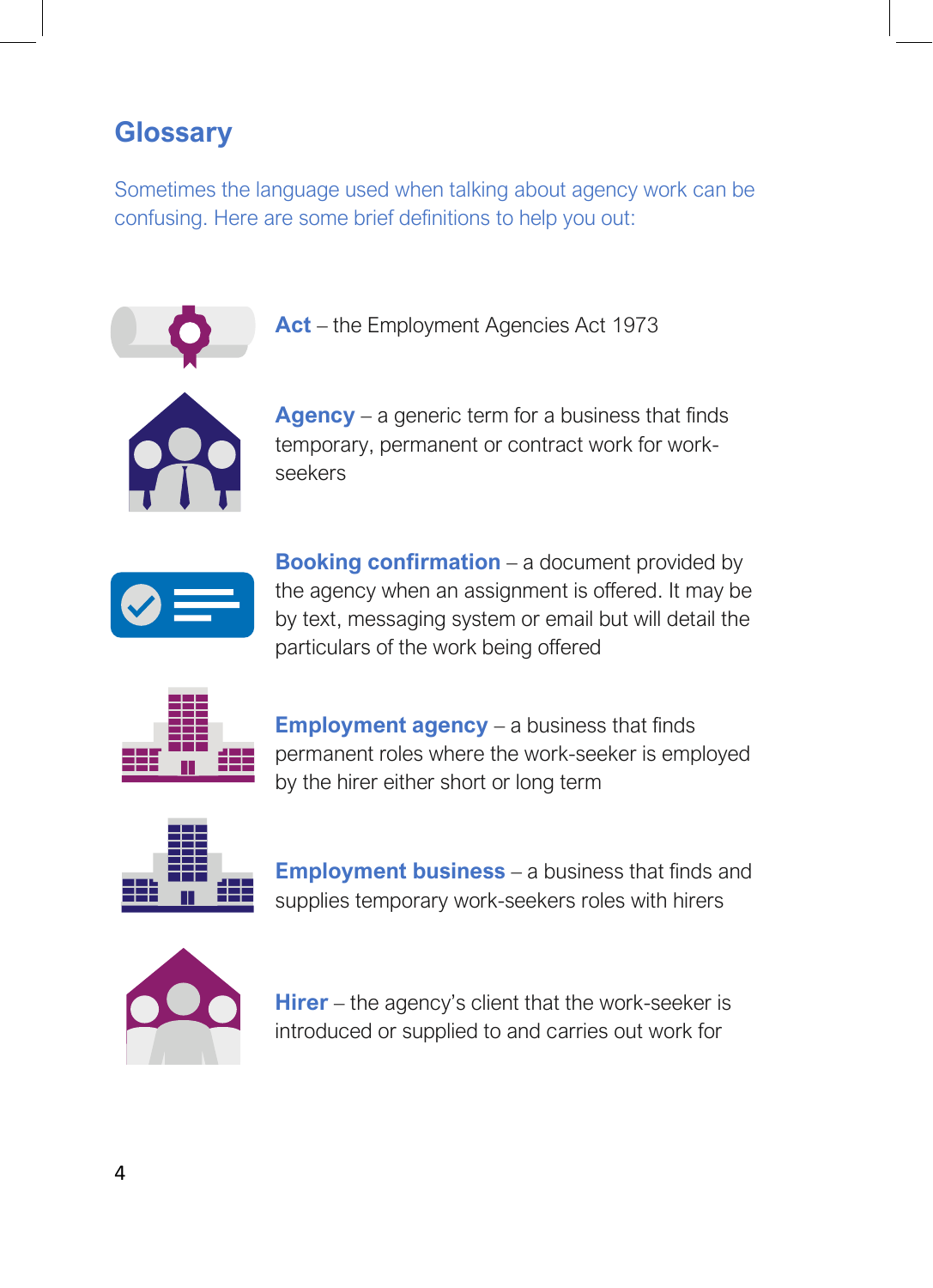### **Glossary**

Sometimes the language used when talking about agency work can be confusing. Here are some brief definitions to help you out:



**Act** – the Employment Agencies Act 1973



**Agency** – a generic term for a business that finds temporary, permanent or contract work for workseekers



**Booking confirmation** – a document provided by the agency when an assignment is offered. It may be by text, messaging system or email but will detail the particulars of the work being offered



**Employment agency** – a business that finds permanent roles where the work-seeker is employed by the hirer either short or long term



**Employment business** – a business that finds and supplies temporary work-seekers roles with hirers



**Hirer** – the agency's client that the work-seeker is introduced or supplied to and carries out work for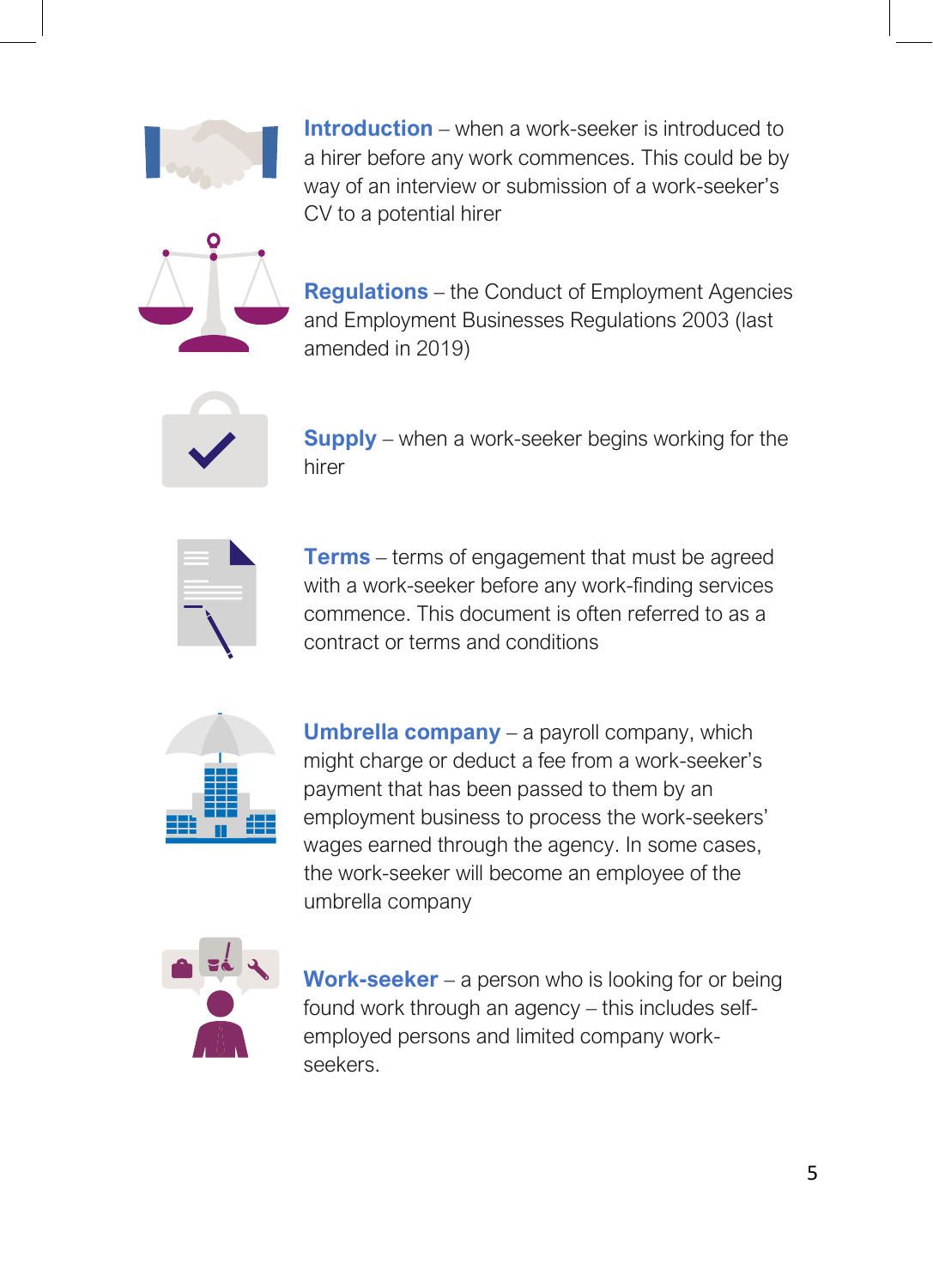

**Introduction** – when a work-seeker is introduced to a hirer before any work commences. This could be by way of an interview or submission of a work-seeker's CV to a potential hirer



**Regulations** – the Conduct of Employment Agencies and Employment Businesses Regulations 2003 (last amended in 2019)



**Supply** – when a work-seeker begins working for the hirer



**Terms** – terms of engagement that must be agreed with a work-seeker before any work-finding services commence. This document is often referred to as a contract or terms and conditions



**Umbrella company** – a payroll company, which might charge or deduct a fee from a work-seeker's payment that has been passed to them by an employment business to process the work-seekers' wages earned through the agency. In some cases, the work-seeker will become an employee of the umbrella company



**Work-seeker** – a person who is looking for or being found work through an agency – this includes selfemployed persons and limited company workseekers.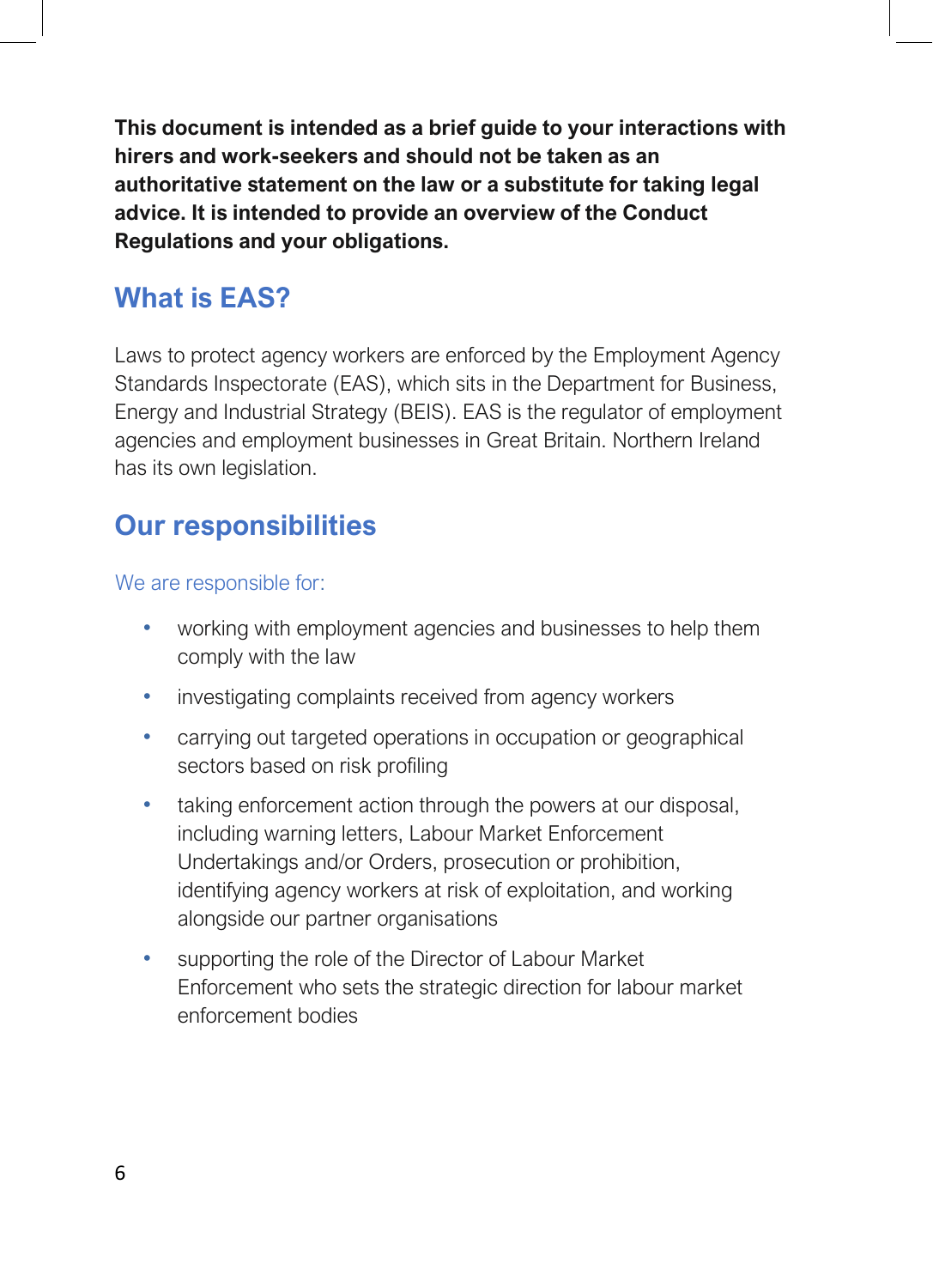**This document is intended as a brief guide to your interactions with hirers and work-seekers and should not be taken as an authoritative statement on the law or a substitute for taking legal advice. It is intended to provide an overview of the Conduct Regulations and your obligations.**

# <span id="page-5-0"></span>**What is EAS?**

Laws to protect agency workers are enforced by the Employment Agency Standards Inspectorate (EAS), which sits in the Department for Business, Energy and Industrial Strategy (BEIS). EAS is the regulator of employment agencies and employment businesses in Great Britain. Northern Ireland has its own legislation.

# <span id="page-5-1"></span>**Our responsibilities**

We are responsible for:

- working with employment agencies and businesses to help them comply with the law
- investigating complaints received from agency workers
- carrying out targeted operations in occupation or geographical sectors based on risk profiling
- taking enforcement action through the powers at our disposal, including warning letters, Labour Market Enforcement Undertakings and/or Orders, prosecution or prohibition, identifying agency workers at risk of exploitation, and working alongside our partner organisations
- supporting the role of the Director of Labour Market Enforcement who sets the strategic direction for labour market enforcement bodies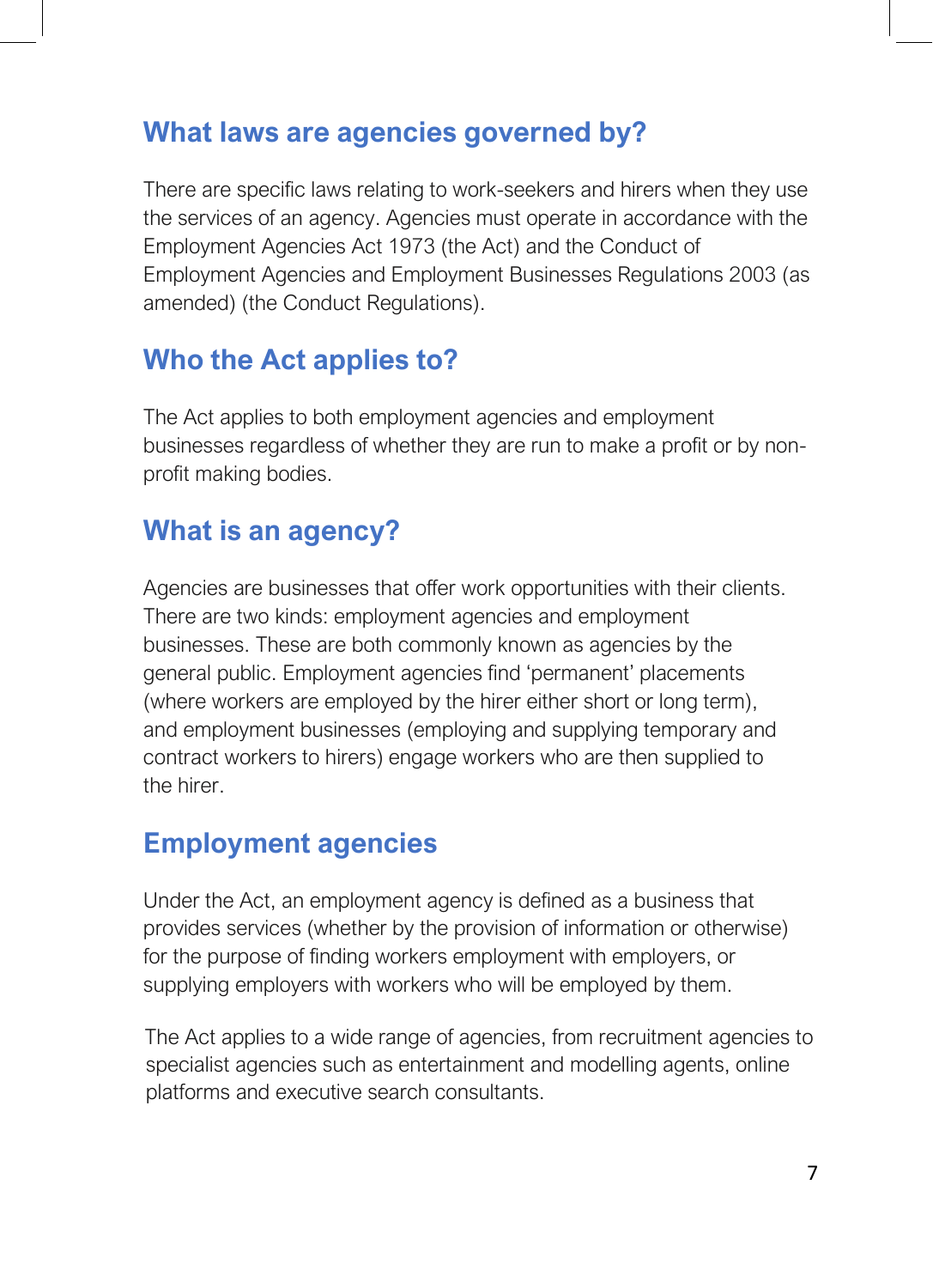## <span id="page-6-0"></span>**What laws are agencies governed by?**

There are specific laws relating to work-seekers and hirers when they use the services of an agency. Agencies must operate in accordance with the Employment Agencies Act 1973 (the Act) and the Conduct of Employment Agencies and Employment Businesses Regulations 2003 (as amended) (the Conduct Regulations).

# <span id="page-6-1"></span>**Who the Act applies to?**

The Act applies to both employment agencies and employment businesses regardless of whether they are run to make a profit or by nonprofit making bodies.

# <span id="page-6-2"></span>**What is an agency?**

Agencies are businesses that offer work opportunities with their clients. There are two kinds: employment agencies and employment businesses. These are both commonly known as agencies by the general public. Employment agencies find 'permanent' placements (where workers are employed by the hirer either short or long term), and employment businesses (employing and supplying temporary and contract workers to hirers) engage workers who are then supplied to the hirer.

# <span id="page-6-3"></span>**Employment agencies**

Under the Act, an employment agency is defined as a business that provides services (whether by the provision of information or otherwise) for the purpose of finding workers employment with employers, or supplying employers with workers who will be employed by them.

The Act applies to a wide range of agencies, from recruitment agencies to specialist agencies such as entertainment and modelling agents, online platforms and executive search consultants.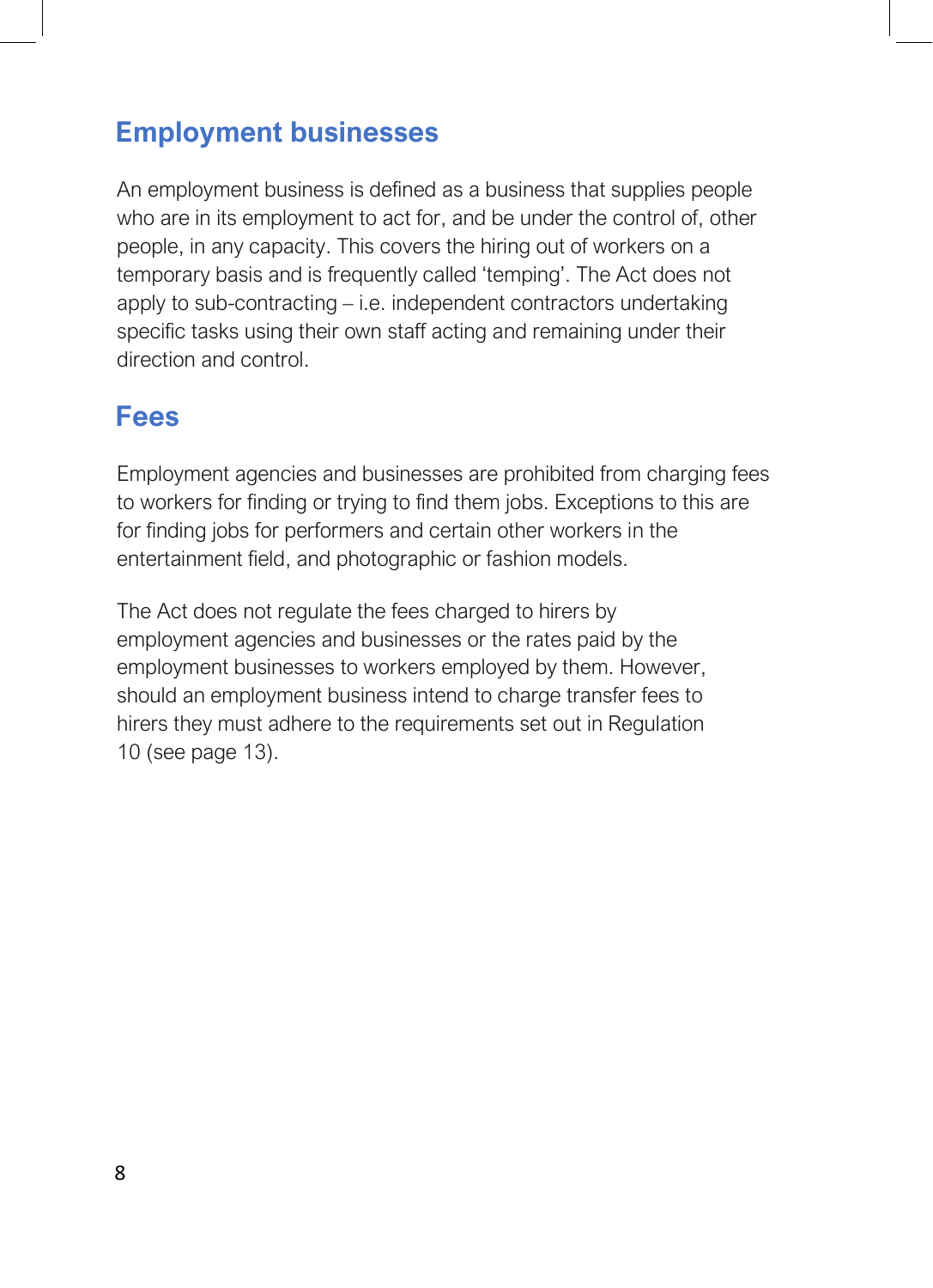## <span id="page-7-0"></span>**Employment businesses**

An employment business is defined as a business that supplies people who are in its employment to act for, and be under the control of, other people, in any capacity. This covers the hiring out of workers on a temporary basis and is frequently called 'temping'. The Act does not apply to sub-contracting – i.e. independent contractors undertaking specific tasks using their own staff acting and remaining under their direction and control.

### <span id="page-7-1"></span>**Fees**

Employment agencies and businesses are prohibited from charging fees to workers for finding or trying to find them jobs. Exceptions to this are for finding jobs for performers and certain other workers in the entertainment field, and photographic or fashion models.

The Act does not regulate the fees charged to hirers by employment agencies and businesses or the rates paid by the employment businesses to workers employed by them. However, should an employment business intend to charge transfer fees to hirers they must adhere to the requirements set out in Regulation 10 (see page 13).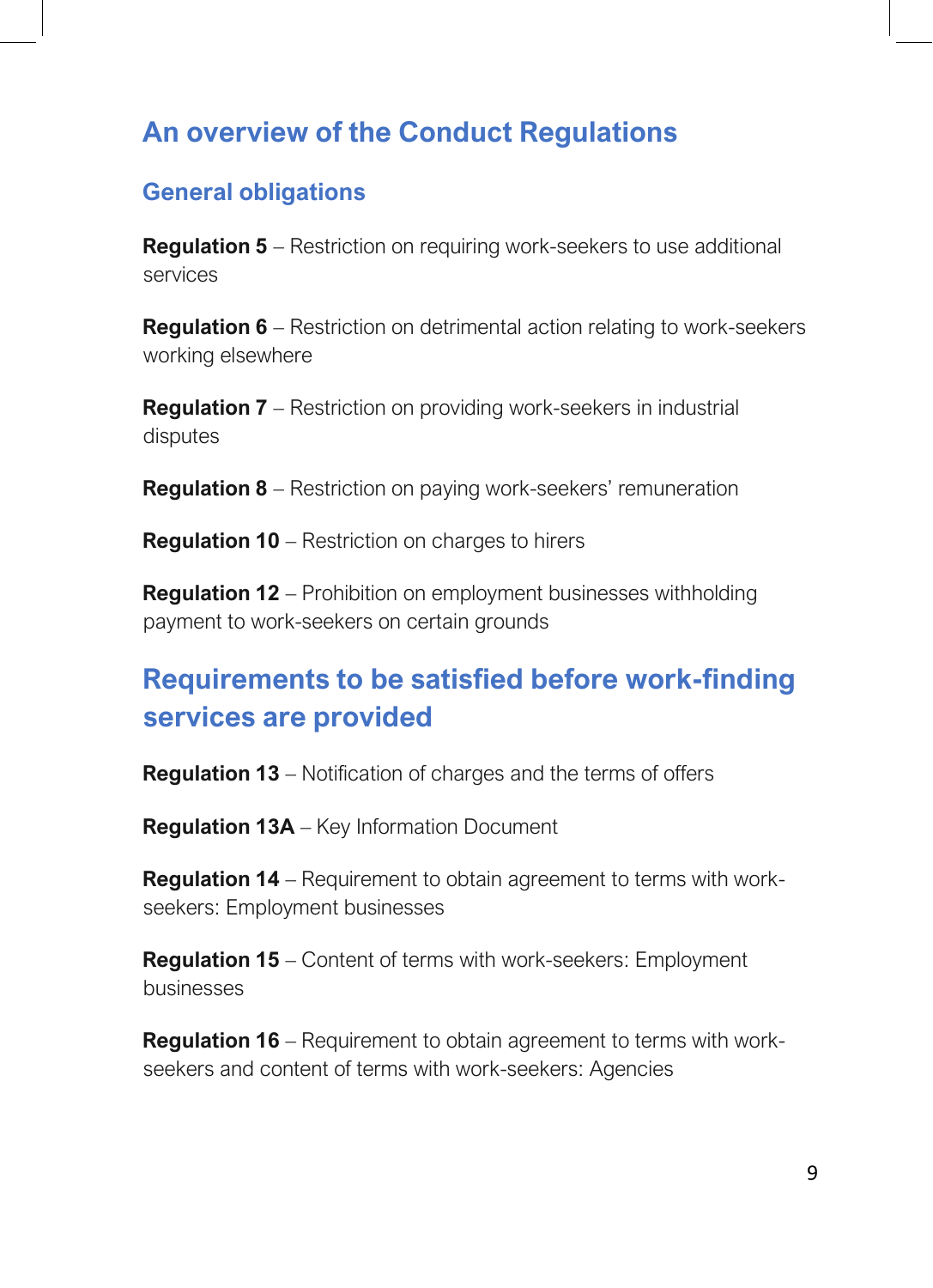### <span id="page-8-0"></span>**An overview of the Conduct Regulations**

#### **General obligations**

**Regulation 5** – Restriction on requiring work-seekers to use additional services

**Regulation 6** – Restriction on detrimental action relating to work-seekers working elsewhere

**Regulation 7** – Restriction on providing work-seekers in industrial disputes

**Regulation 8** – Restriction on paying work-seekers' remuneration

**Regulation 10** – Restriction on charges to hirers

**Regulation 12** – Prohibition on employment businesses withholding payment to work-seekers on certain grounds

# **Requirements to be satisfied before work-finding services are provided**

**Regulation 13** – Notification of charges and the terms of offers

**Regulation 13A** – Key Information Document

**Regulation 14** – Requirement to obtain agreement to terms with workseekers: Employment businesses

**Regulation 15** – Content of terms with work-seekers: Employment businesses

**Regulation 16** – Requirement to obtain agreement to terms with workseekers and content of terms with work-seekers: Agencies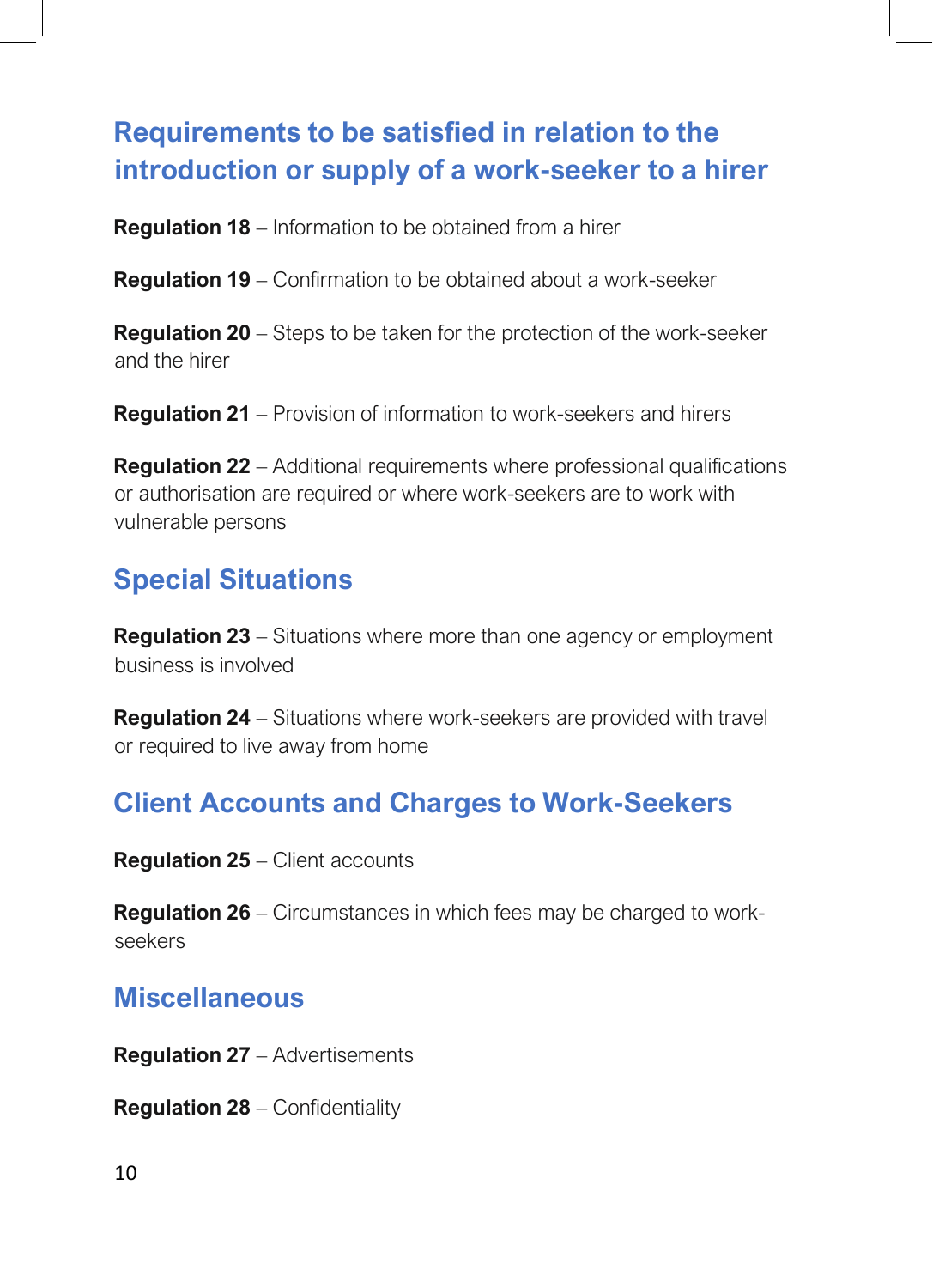# **Requirements to be satisfied in relation to the introduction or supply of a work-seeker to a hirer**

**Regulation 18** – Information to be obtained from a hirer

**Regulation 19** – Confirmation to be obtained about a work-seeker

**Regulation 20** – Steps to be taken for the protection of the work-seeker and the hirer

**Regulation 21** – Provision of information to work-seekers and hirers

**Regulation 22** – Additional requirements where professional qualifications or authorisation are required or where work-seekers are to work with vulnerable persons

# **Special Situations**

**Regulation 23** – Situations where more than one agency or employment business is involved

**Regulation 24** – Situations where work-seekers are provided with travel or required to live away from home

#### **Client Accounts and Charges to Work-Seekers**

**Regulation 25** – Client accounts

**Regulation 26** – Circumstances in which fees may be charged to workseekers

#### **Miscellaneous**

**Regulation 27** – Advertisements

**Regulation 28** – Confidentiality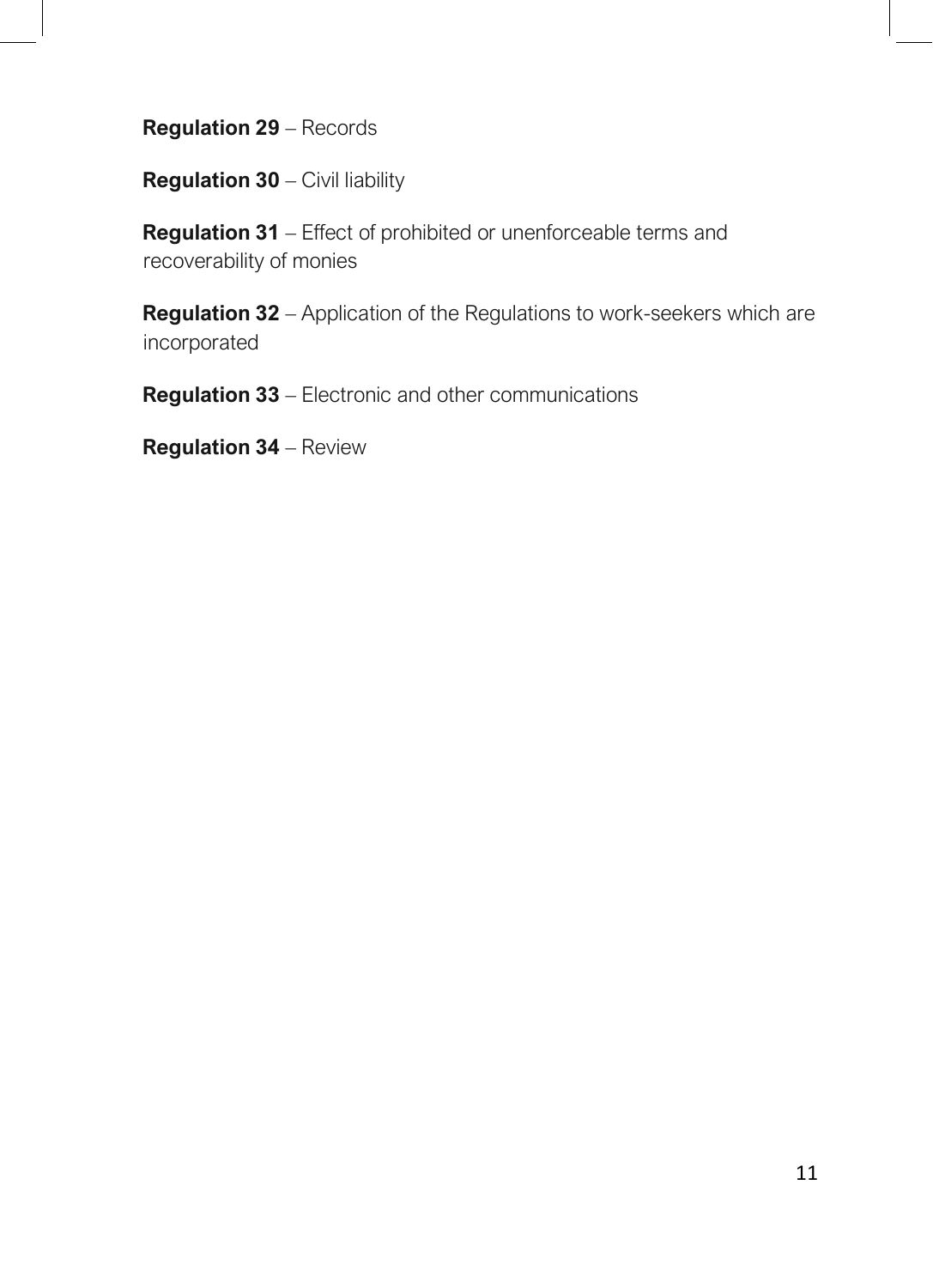**Regulation 29** – Records

**Regulation 30** – Civil liability

**Regulation 31** – Effect of prohibited or unenforceable terms and recoverability of monies

**Regulation 32** – Application of the Regulations to work-seekers which are incorporated

**Regulation 33** – Electronic and other communications

**Regulation 34** – Review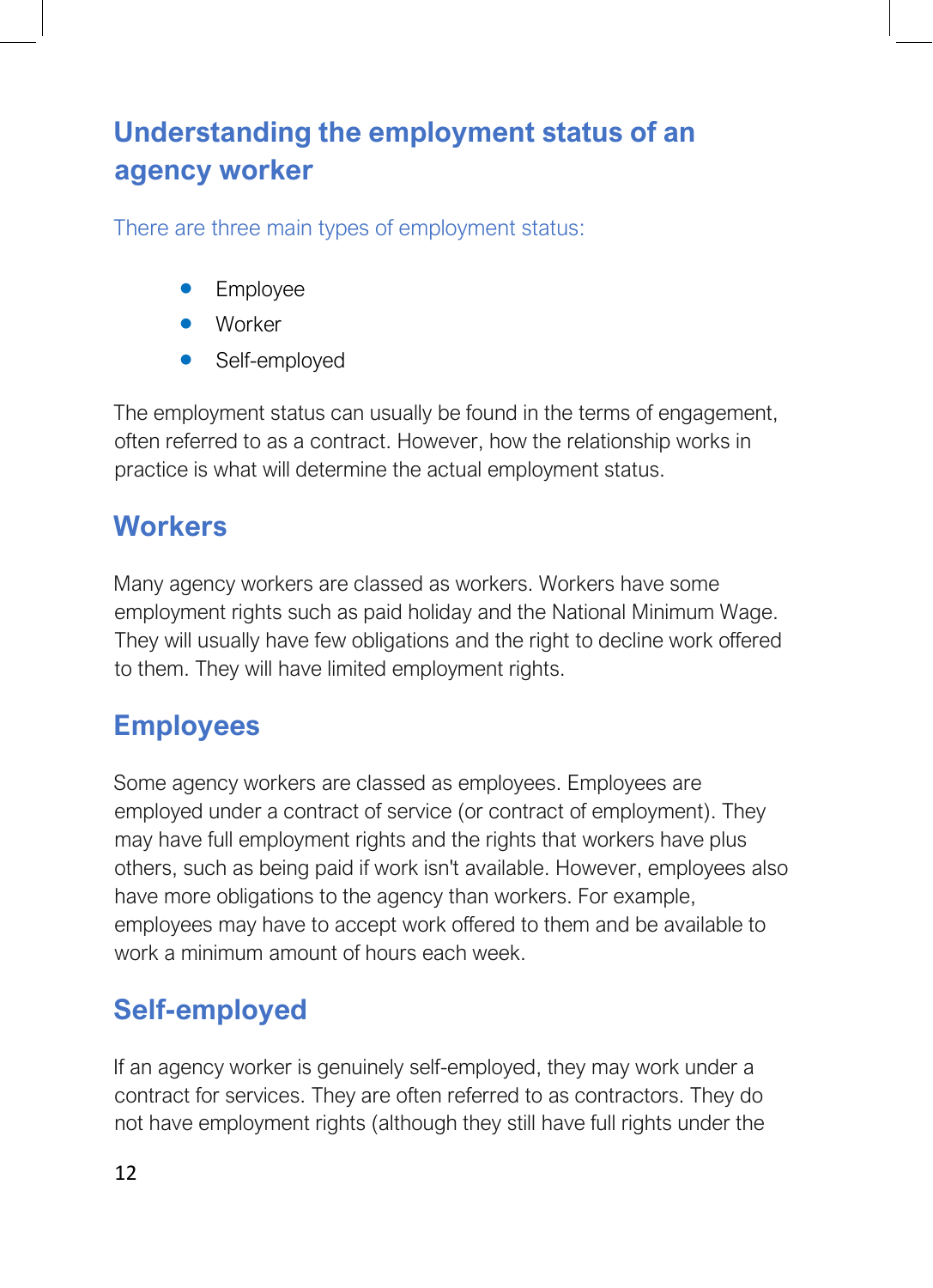# **Understanding the employment status of an agency worker**

There are three main types of employment status:

- Employee
- Worker
- Self-employed

The employment status can usually be found in the terms of engagement, often referred to as a contract. However, how the relationship works in practice is what will determine the actual employment status.

# **Workers**

Many agency workers are classed as workers. Workers have some employment rights such as paid holiday and the National Minimum Wage. They will usually have few obligations and the right to decline work offered to them. They will have limited employment rights.

# **Employees**

Some agency workers are classed as employees. Employees are employed under a contract of service (or contract of employment). They may have full employment rights and the rights that workers have plus others, such as being paid if work isn't available. However, employees also have more obligations to the agency than workers. For example, employees may have to accept work offered to them and be available to work a minimum amount of hours each week.

# **Self-employed**

If an agency worker is genuinely self-employed, they may work under a contract for services. They are often referred to as contractors. They do not have employment rights (although they still have full rights under the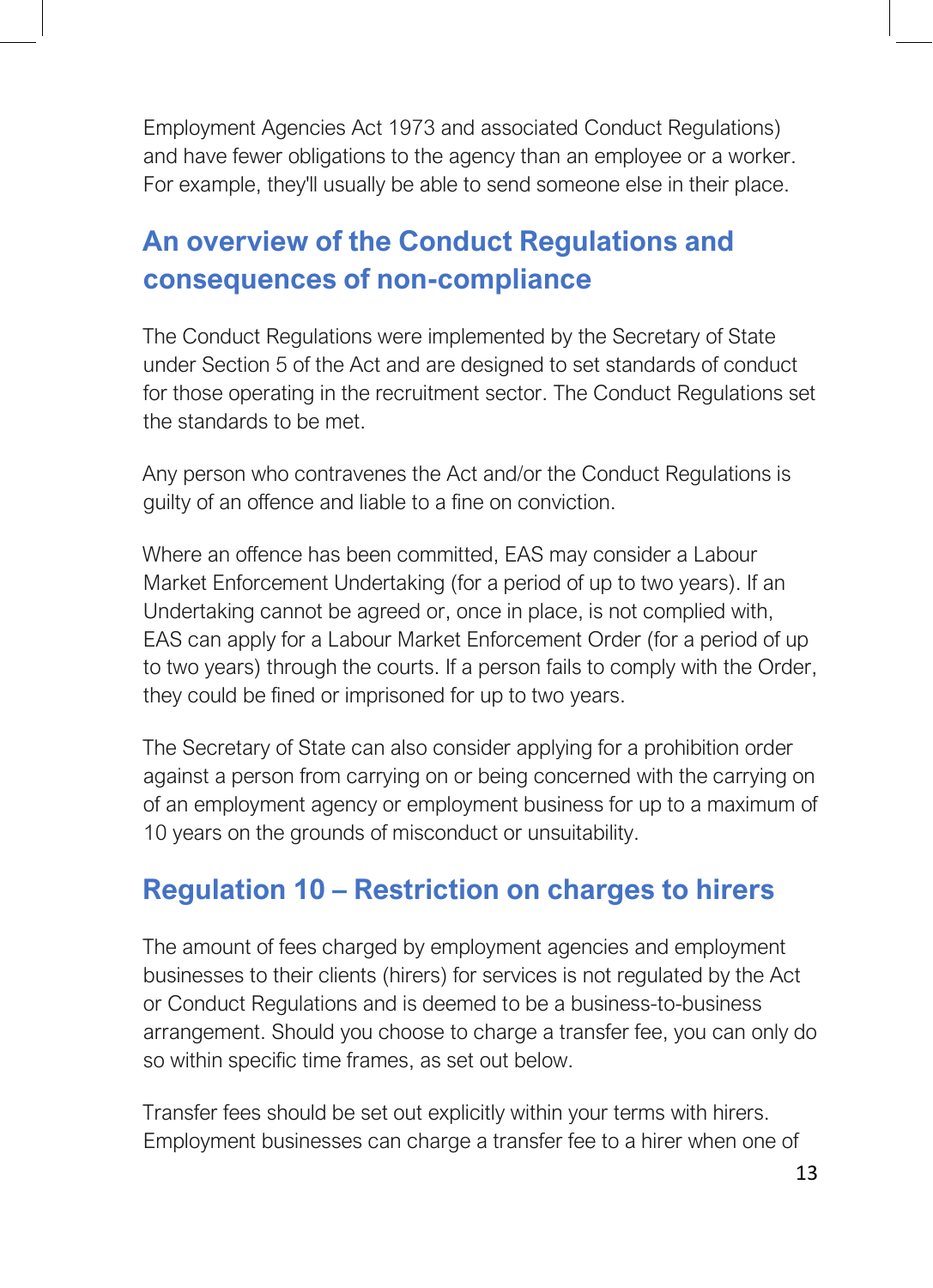Employment Agencies Act 1973 and associated Conduct Regulations) and have fewer obligations to the agency than an employee or a worker. For example, they'll usually be able to send someone else in their place.

# <span id="page-12-0"></span>**An overview of the Conduct Regulations and consequences of non-compliance**

The Conduct Regulations were implemented by the Secretary of State under Section 5 of the Act and are designed to set standards of conduct for those operating in the recruitment sector. The Conduct Regulations set the standards to be met.

Any person who contravenes the Act and/or the Conduct Regulations is guilty of an offence and liable to a fine on conviction.

Where an offence has been committed, EAS may consider a Labour Market Enforcement Undertaking (for a period of up to two years). If an Undertaking cannot be agreed or, once in place, is not complied with, EAS can apply for a Labour Market Enforcement Order (for a period of up to two years) through the courts. If a person fails to comply with the Order, they could be fined or imprisoned for up to two years.

The Secretary of State can also consider applying for a prohibition order against a person from carrying on or being concerned with the carrying on of an employment agency or employment business for up to a maximum of 10 years on the grounds of misconduct or unsuitability.

# <span id="page-12-1"></span>**Regulation 10 – Restriction on charges to hirers**

The amount of fees charged by employment agencies and employment businesses to their clients (hirers) for services is not regulated by the Act or Conduct Regulations and is deemed to be a business-to-business arrangement. Should you choose to charge a transfer fee, you can only do so within specific time frames, as set out below.

Transfer fees should be set out explicitly within your terms with hirers. Employment businesses can charge a transfer fee to a hirer when one of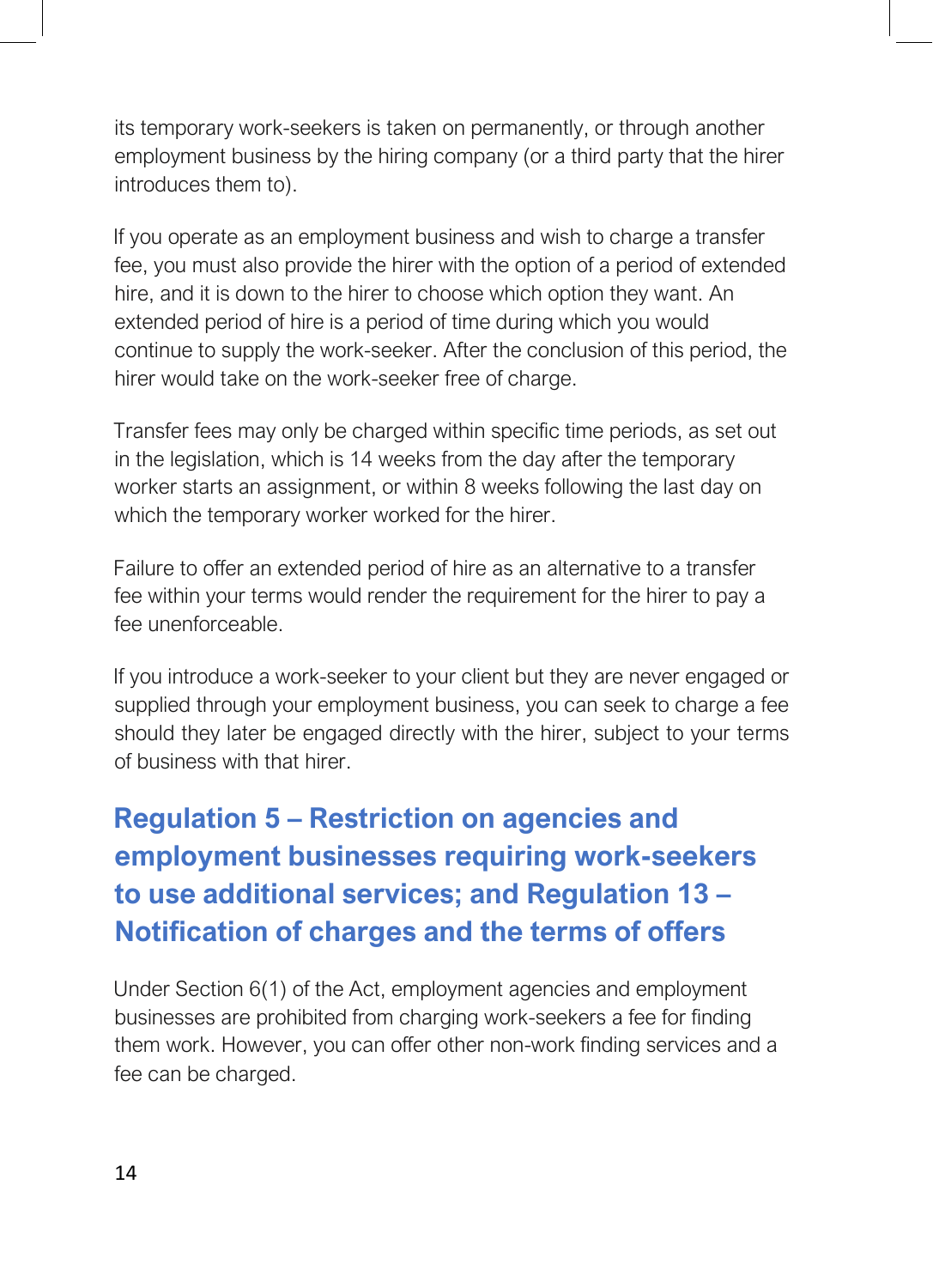its temporary work-seekers is taken on permanently, or through another employment business by the hiring company (or a third party that the hirer introduces them to).

If you operate as an employment business and wish to charge a transfer fee, you must also provide the hirer with the option of a period of extended hire, and it is down to the hirer to choose which option they want. An extended period of hire is a period of time during which you would continue to supply the work-seeker. After the conclusion of this period, the hirer would take on the work-seeker free of charge.

Transfer fees may only be charged within specific time periods, as set out in the legislation, which is 14 weeks from the day after the temporary worker starts an assignment, or within 8 weeks following the last day on which the temporary worker worked for the hirer.

Failure to offer an extended period of hire as an alternative to a transfer fee within your terms would render the requirement for the hirer to pay a fee unenforceable.

If you introduce a work-seeker to your client but they are never engaged or supplied through your employment business, you can seek to charge a fee should they later be engaged directly with the hirer, subject to your terms of business with that hirer.

# <span id="page-13-0"></span>**Regulation 5 – Restriction on agencies and employment businesses requiring work-seekers to use additional services; and Regulation 13 – Notification of charges and the terms of offers**

Under Section 6(1) of the Act, employment agencies and employment businesses are prohibited from charging work-seekers a fee for finding them work. However, you can offer other non-work finding services and a fee can be charged.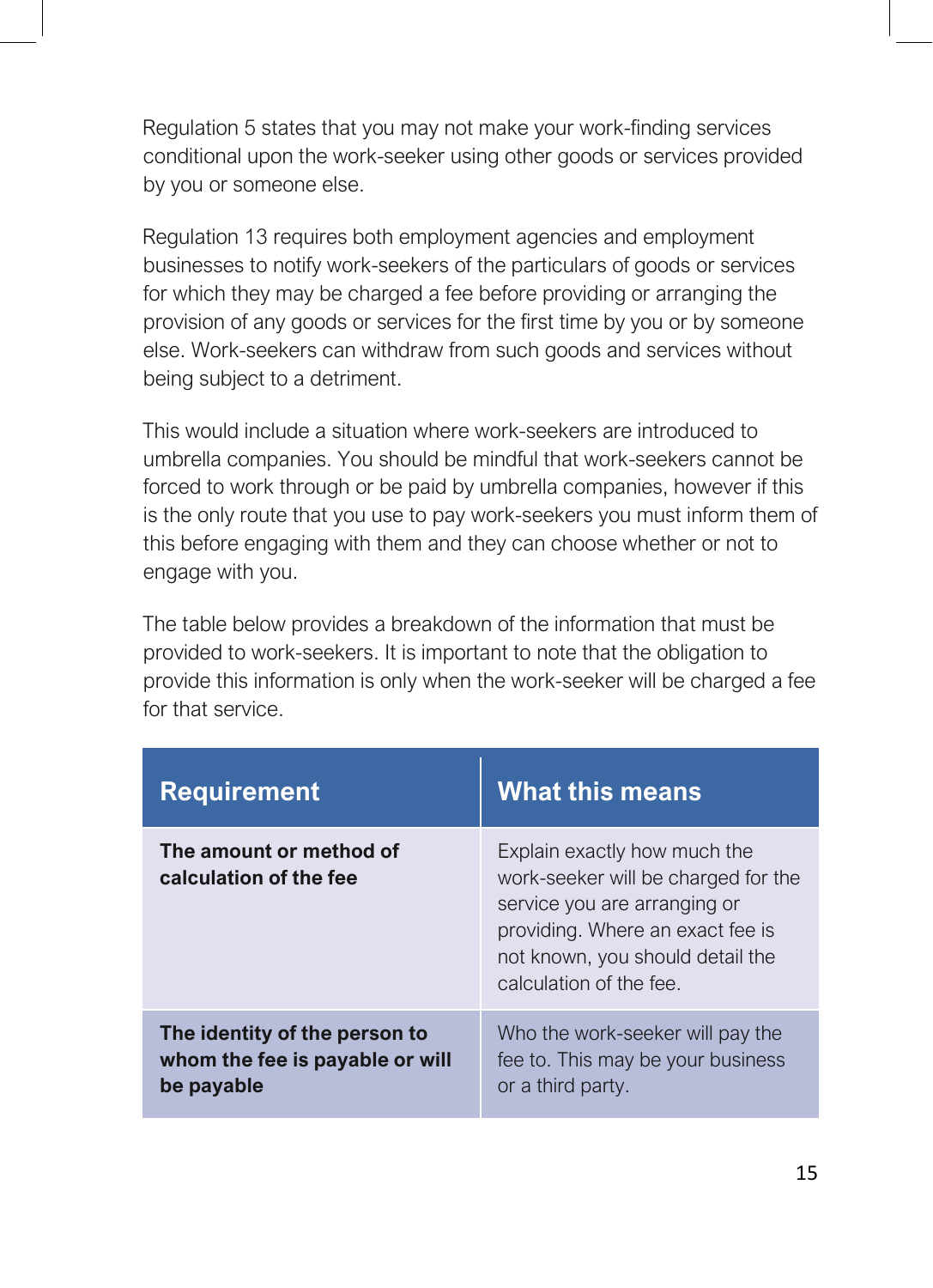Regulation 5 states that you may not make your work-finding services conditional upon the work-seeker using other goods or services provided by you or someone else.

Regulation 13 requires both employment agencies and employment businesses to notify work-seekers of the particulars of goods or services for which they may be charged a fee before providing or arranging the provision of any goods or services for the first time by you or by someone else. Work-seekers can withdraw from such goods and services without being subject to a detriment.

This would include a situation where work-seekers are introduced to umbrella companies. You should be mindful that work-seekers cannot be forced to work through or be paid by umbrella companies, however if this is the only route that you use to pay work-seekers you must inform them of this before engaging with them and they can choose whether or not to engage with you.

The table below provides a breakdown of the information that must be provided to work-seekers. It is important to note that the obligation to provide this information is only when the work-seeker will be charged a fee for that service.

| <b>Requirement</b>                                                             | <b>What this means</b>                                                                                                                                                                                 |
|--------------------------------------------------------------------------------|--------------------------------------------------------------------------------------------------------------------------------------------------------------------------------------------------------|
| The amount or method of<br>calculation of the fee                              | Explain exactly how much the<br>work-seeker will be charged for the<br>service you are arranging or<br>providing. Where an exact fee is<br>not known, you should detail the<br>calculation of the fee. |
| The identity of the person to<br>whom the fee is payable or will<br>be payable | Who the work-seeker will pay the<br>fee to. This may be your business<br>or a third party.                                                                                                             |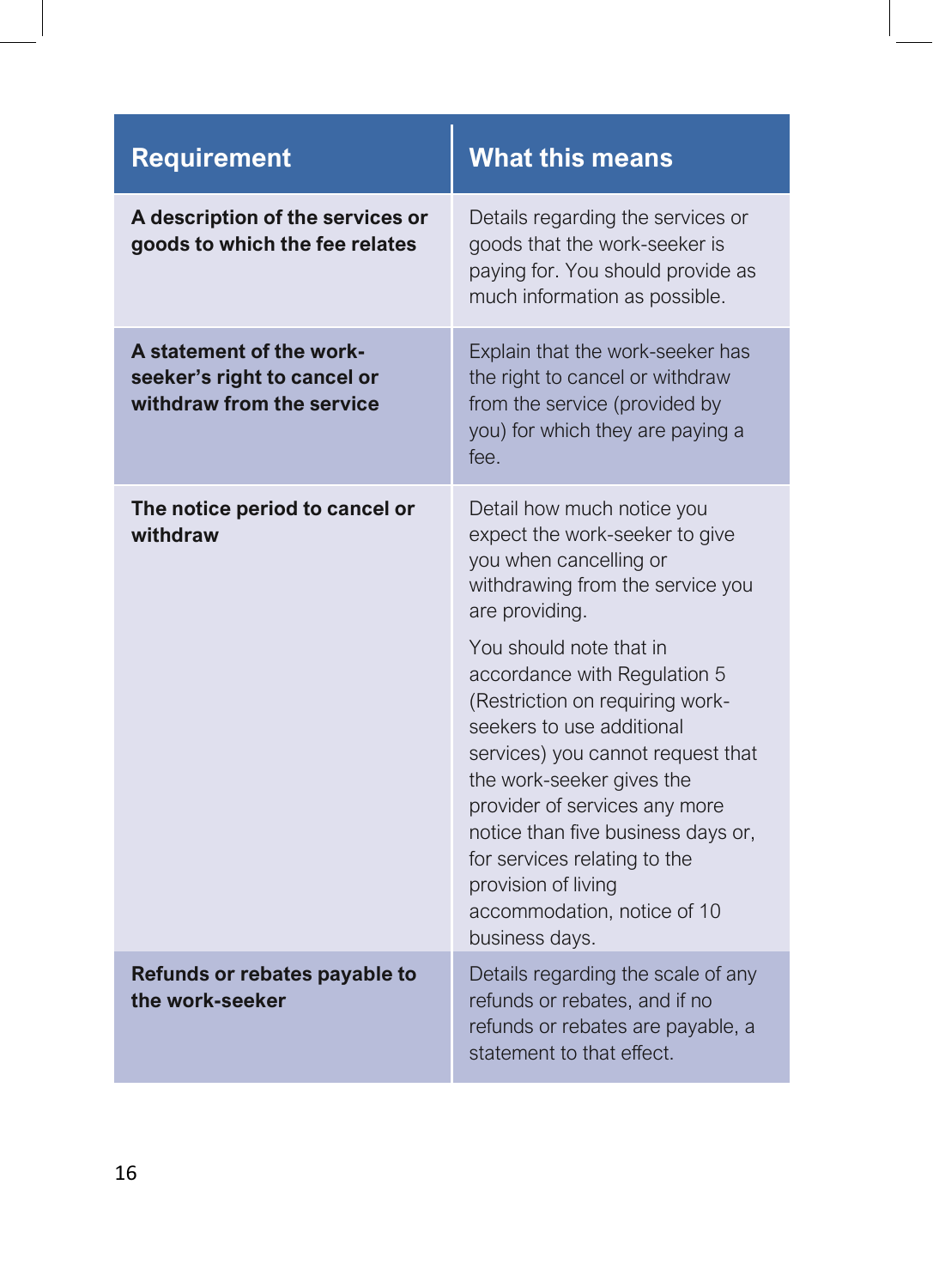| <b>Requirement</b>                                                                   | <b>What this means</b>                                                                                                                                                                                                                                                                                                                                                   |
|--------------------------------------------------------------------------------------|--------------------------------------------------------------------------------------------------------------------------------------------------------------------------------------------------------------------------------------------------------------------------------------------------------------------------------------------------------------------------|
| A description of the services or<br>goods to which the fee relates                   | Details regarding the services or<br>goods that the work-seeker is<br>paying for. You should provide as<br>much information as possible.                                                                                                                                                                                                                                 |
| A statement of the work-<br>seeker's right to cancel or<br>withdraw from the service | Explain that the work-seeker has<br>the right to cancel or withdraw<br>from the service (provided by<br>you) for which they are paying a<br>fee.                                                                                                                                                                                                                         |
| The notice period to cancel or<br>withdraw                                           | Detail how much notice you<br>expect the work-seeker to give<br>you when cancelling or<br>withdrawing from the service you<br>are providing.                                                                                                                                                                                                                             |
|                                                                                      | You should note that in<br>accordance with Regulation 5<br>(Restriction on requiring work-<br>seekers to use additional<br>services) you cannot request that<br>the work-seeker gives the<br>provider of services any more<br>notice than five business days or,<br>for services relating to the<br>provision of living<br>accommodation, notice of 10<br>business days. |
| Refunds or rebates payable to<br>the work-seeker                                     | Details regarding the scale of any<br>refunds or rebates, and if no<br>refunds or rebates are payable, a<br>statement to that effect.                                                                                                                                                                                                                                    |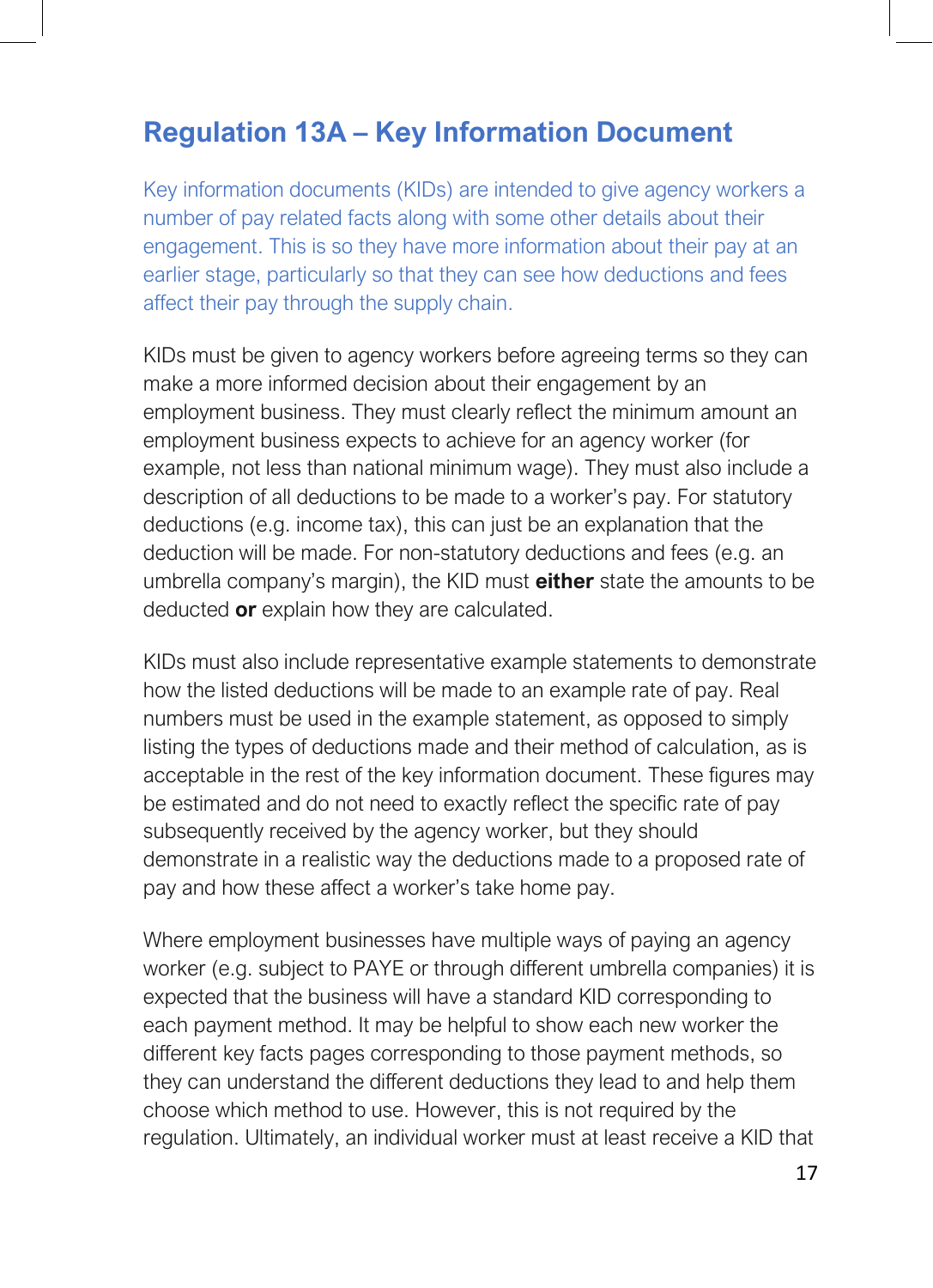## **Regulation 13A – Key Information Document**

Key information documents (KIDs) are intended to give agency workers a number of pay related facts along with some other details about their engagement. This is so they have more information about their pay at an earlier stage, particularly so that they can see how deductions and fees affect their pay through the supply chain.

KIDs must be given to agency workers before agreeing terms so they can make a more informed decision about their engagement by an employment business. They must clearly reflect the minimum amount an employment business expects to achieve for an agency worker (for example, not less than national minimum wage). They must also include a description of all deductions to be made to a worker's pay. For statutory deductions (e.g. income tax), this can just be an explanation that the deduction will be made. For non-statutory deductions and fees (e.g. an umbrella company's margin), the KID must **either** state the amounts to be deducted **or** explain how they are calculated.

KIDs must also include representative example statements to demonstrate how the listed deductions will be made to an example rate of pay. Real numbers must be used in the example statement, as opposed to simply listing the types of deductions made and their method of calculation, as is acceptable in the rest of the key information document. These figures may be estimated and do not need to exactly reflect the specific rate of pay subsequently received by the agency worker, but they should demonstrate in a realistic way the deductions made to a proposed rate of pay and how these affect a worker's take home pay.

Where employment businesses have multiple ways of paying an agency worker (e.g. subject to PAYE or through different umbrella companies) it is expected that the business will have a standard KID corresponding to each payment method. It may be helpful to show each new worker the different key facts pages corresponding to those payment methods, so they can understand the different deductions they lead to and help them choose which method to use. However, this is not required by the regulation. Ultimately, an individual worker must at least receive a KID that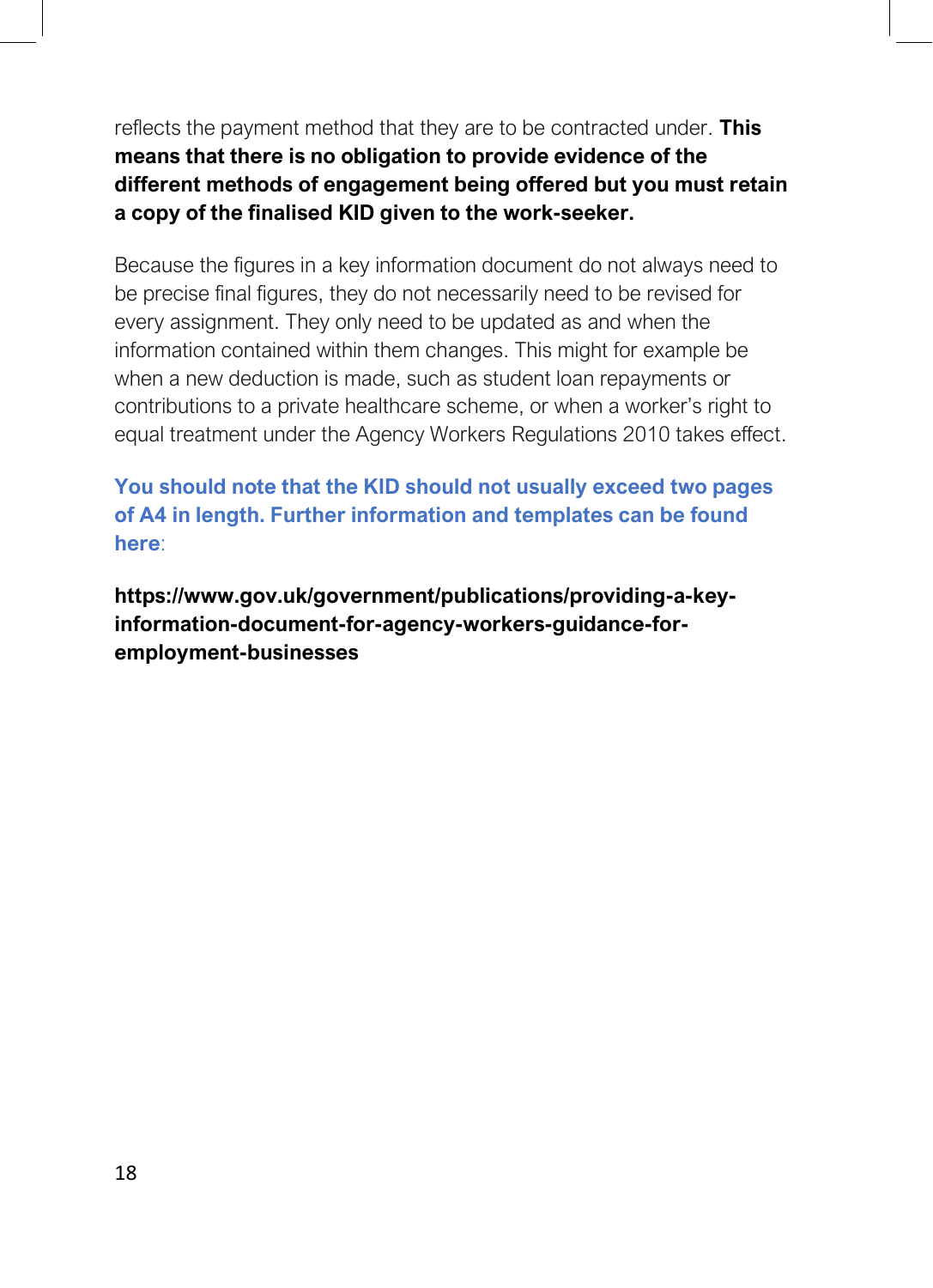reflects the payment method that they are to be contracted under. **This means that there is no obligation to provide evidence of the different methods of engagement being offered but you must retain a copy of the finalised KID given to the work-seeker.**

Because the figures in a key information document do not always need to be precise final figures, they do not necessarily need to be revised for every assignment. They only need to be updated as and when the information contained within them changes. This might for example be when a new deduction is made, such as student loan repayments or contributions to a private healthcare scheme, or when a worker's right to equal treatment under the Agency Workers Regulations 2010 takes effect.

**You should note that the KID should not usually exceed two pages of A4 in length. Further information and templates can be found here**:

**https://www.gov.uk/government/publications/providing-a-keyinformation-document-for-agency-workers-guidance-foremployment-businesses**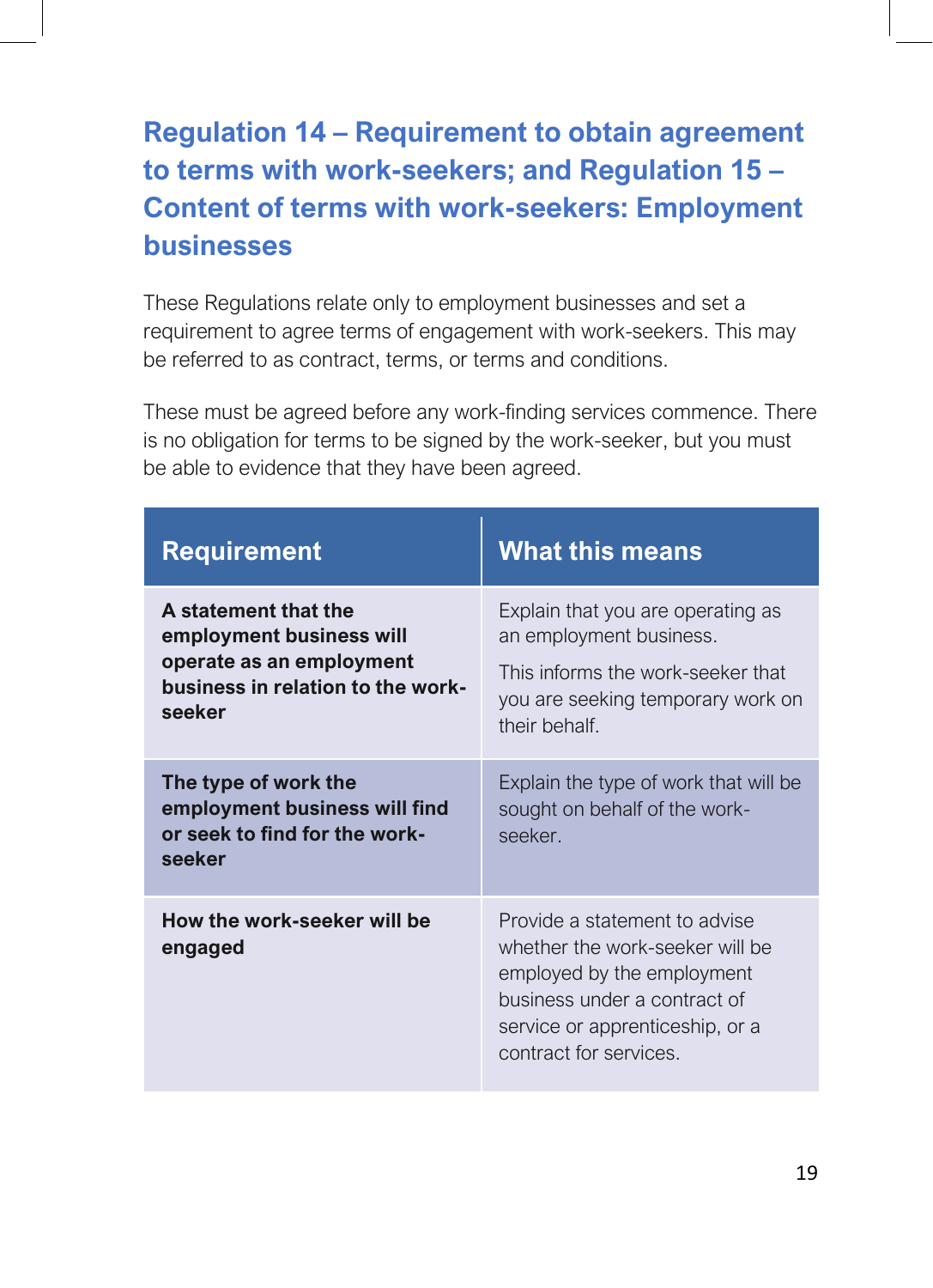# <span id="page-18-1"></span><span id="page-18-0"></span>**Regulation 14 – Requirement to obtain agreement to terms with work-seekers; and Regulation 15 – Content of terms with work-seekers: Employment businesses**

These Regulations relate only to employment businesses and set a requirement to agree terms of engagement with work-seekers. This may be referred to as contract, terms, or terms and conditions.

These must be agreed before any work-finding services commence. There is no obligation for terms to be signed by the work-seeker, but you must be able to evidence that they have been agreed.

| <b>Requirement</b>                                                                                                          | <b>What this means</b>                                                                                                                                                                     |
|-----------------------------------------------------------------------------------------------------------------------------|--------------------------------------------------------------------------------------------------------------------------------------------------------------------------------------------|
| A statement that the<br>employment business will<br>operate as an employment<br>business in relation to the work-<br>seeker | Explain that you are operating as<br>an employment business.<br>This informs the work-seeker that<br>you are seeking temporary work on<br>their behalf.                                    |
| The type of work the<br>employment business will find<br>or seek to find for the work-<br>seeker                            | Explain the type of work that will be<br>sought on behalf of the work-<br>seeker.                                                                                                          |
| How the work-seeker will be<br>engaged                                                                                      | Provide a statement to advise<br>whether the work-seeker will be<br>employed by the employment<br>business under a contract of<br>service or apprenticeship, or a<br>contract for services |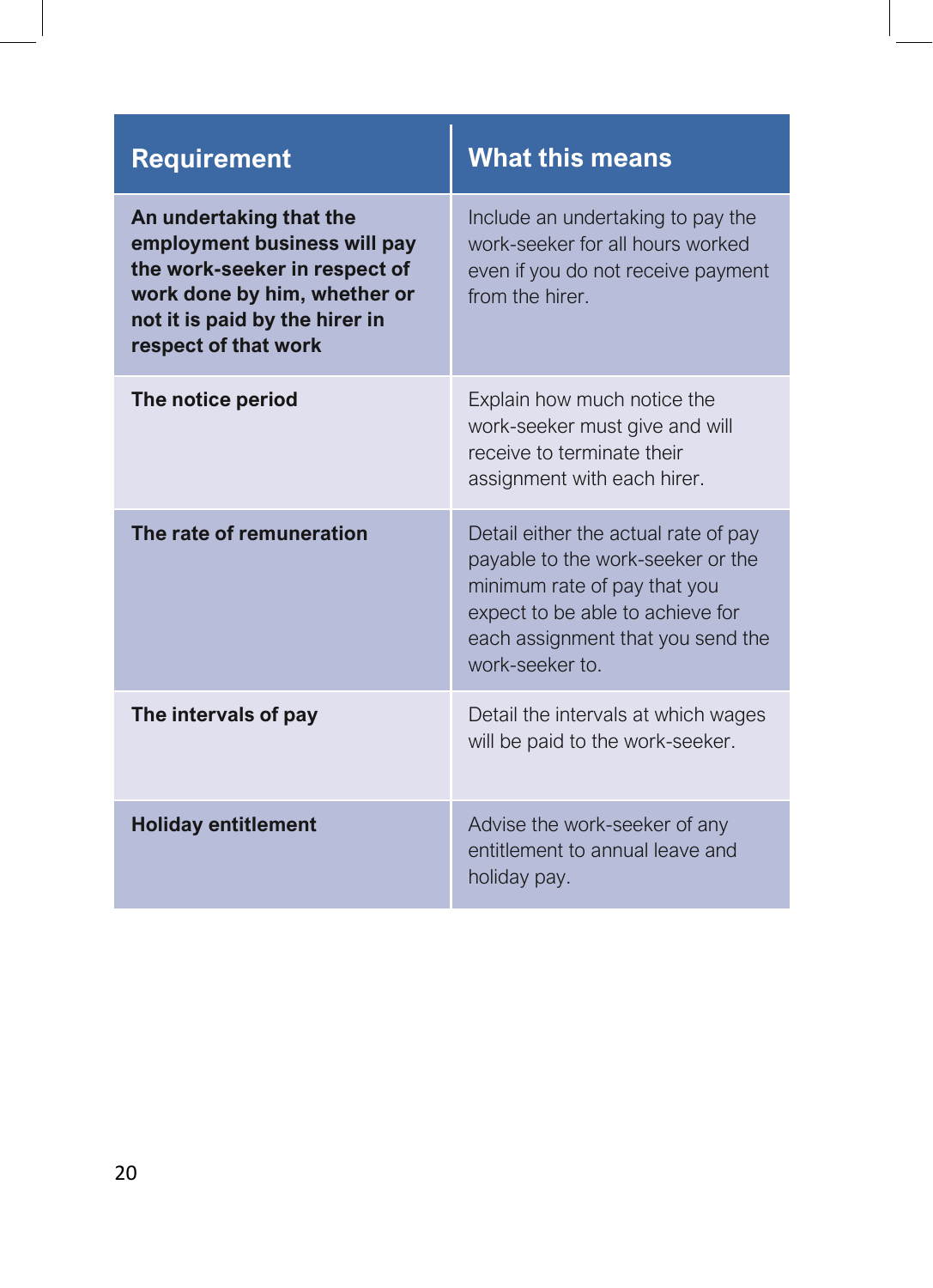| <b>Requirement</b>                                                                                                                                                                 | <b>What this means</b>                                                                                                                                                                                |
|------------------------------------------------------------------------------------------------------------------------------------------------------------------------------------|-------------------------------------------------------------------------------------------------------------------------------------------------------------------------------------------------------|
| An undertaking that the<br>employment business will pay<br>the work-seeker in respect of<br>work done by him, whether or<br>not it is paid by the hirer in<br>respect of that work | Include an undertaking to pay the<br>work-seeker for all hours worked<br>even if you do not receive payment<br>from the hirer.                                                                        |
| The notice period                                                                                                                                                                  | Explain how much notice the<br>work-seeker must give and will<br>receive to terminate their<br>assignment with each hirer.                                                                            |
| The rate of remuneration                                                                                                                                                           | Detail either the actual rate of pay<br>payable to the work-seeker or the<br>minimum rate of pay that you<br>expect to be able to achieve for<br>each assignment that you send the<br>work-seeker to. |
| The intervals of pay                                                                                                                                                               | Detail the intervals at which wages<br>will be paid to the work-seeker.                                                                                                                               |
| <b>Holiday entitlement</b>                                                                                                                                                         | Advise the work-seeker of any<br>entitlement to annual leave and<br>holiday pay.                                                                                                                      |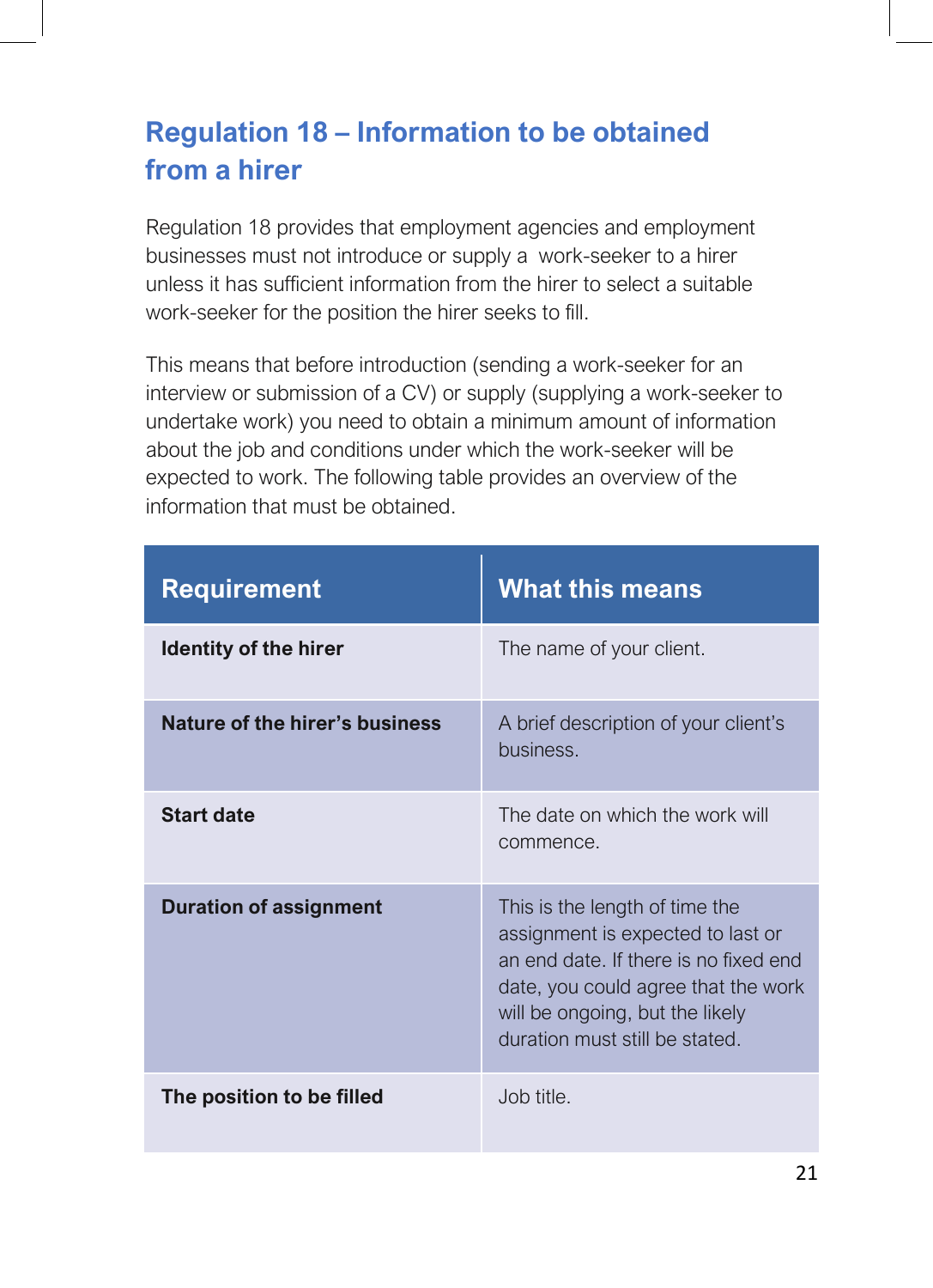# <span id="page-20-0"></span>**Regulation 18 – Information to be obtained from a hirer**

Regulation 18 provides that employment agencies and employment businesses must not introduce or supply a work-seeker to a hirer unless it has sufficient information from the hirer to select a suitable work-seeker for the position the hirer seeks to fill.

This means that before introduction (sending a work-seeker for an interview or submission of a CV) or supply (supplying a work-seeker to undertake work) you need to obtain a minimum amount of information about the job and conditions under which the work-seeker will be expected to work. The following table provides an overview of the information that must be obtained.

| <b>Requirement</b>             | <b>What this means</b>                                                                                                                                                                                                   |
|--------------------------------|--------------------------------------------------------------------------------------------------------------------------------------------------------------------------------------------------------------------------|
| <b>Identity of the hirer</b>   | The name of your client.                                                                                                                                                                                                 |
| Nature of the hirer's business | A brief description of your client's<br>business.                                                                                                                                                                        |
| <b>Start date</b>              | The date on which the work will<br>commence.                                                                                                                                                                             |
| <b>Duration of assignment</b>  | This is the length of time the<br>assignment is expected to last or<br>an end date. If there is no fixed end<br>date, you could agree that the work<br>will be ongoing, but the likely<br>duration must still be stated. |
| The position to be filled      | Job title.                                                                                                                                                                                                               |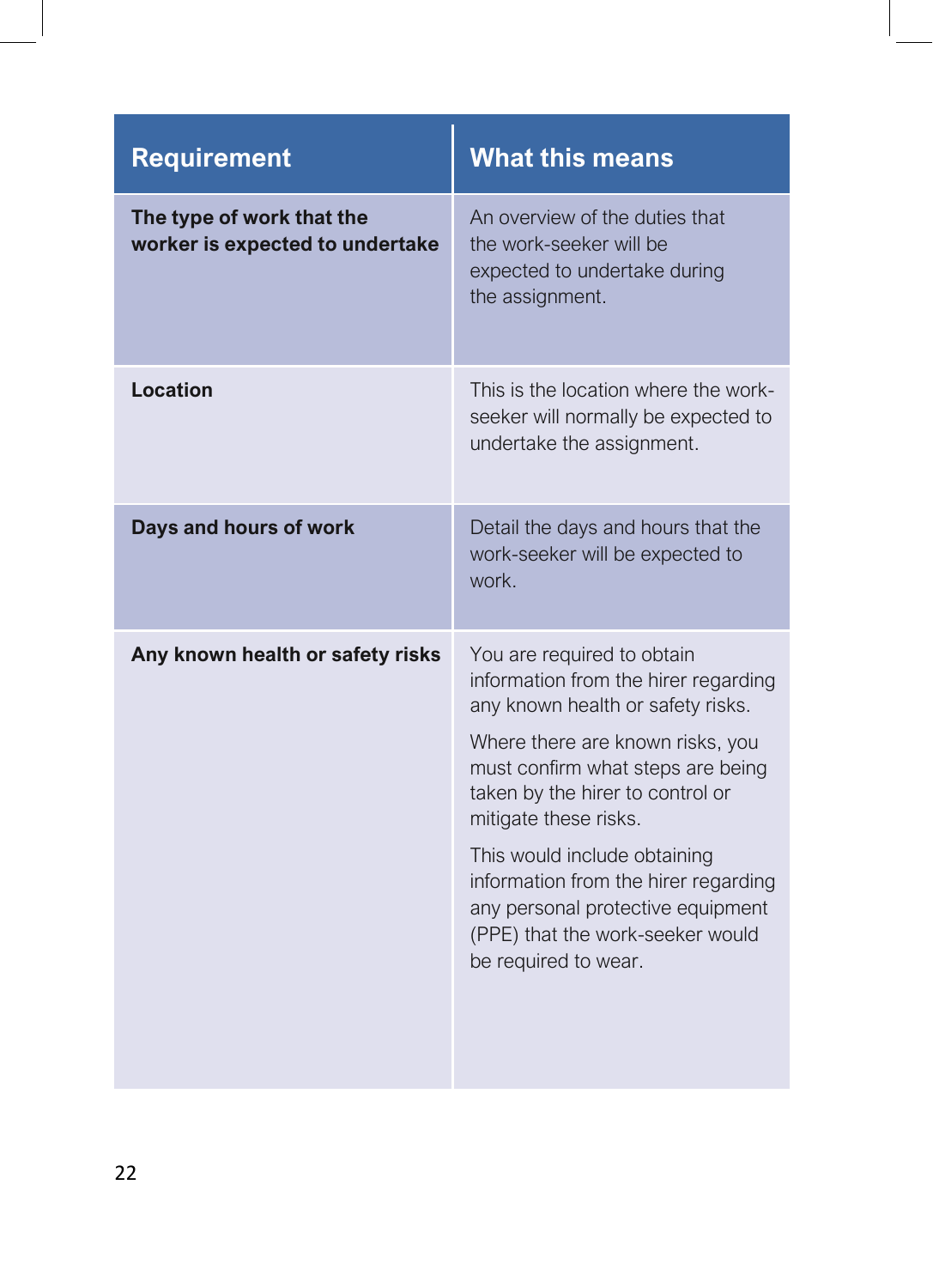| <b>Requirement</b>                                           | <b>What this means</b>                                                                                                                                                                                                                                                                                                                                                                                                 |
|--------------------------------------------------------------|------------------------------------------------------------------------------------------------------------------------------------------------------------------------------------------------------------------------------------------------------------------------------------------------------------------------------------------------------------------------------------------------------------------------|
| The type of work that the<br>worker is expected to undertake | An overview of the duties that<br>the work-seeker will be<br>expected to undertake during<br>the assignment.                                                                                                                                                                                                                                                                                                           |
| Location                                                     | This is the location where the work-<br>seeker will normally be expected to<br>undertake the assignment.                                                                                                                                                                                                                                                                                                               |
| Days and hours of work                                       | Detail the days and hours that the<br>work-seeker will be expected to<br>work.                                                                                                                                                                                                                                                                                                                                         |
| Any known health or safety risks                             | You are required to obtain<br>information from the hirer regarding<br>any known health or safety risks.<br>Where there are known risks, you<br>must confirm what steps are being<br>taken by the hirer to control or<br>mitigate these risks.<br>This would include obtaining<br>information from the hirer regarding<br>any personal protective equipment<br>(PPE) that the work-seeker would<br>be required to wear. |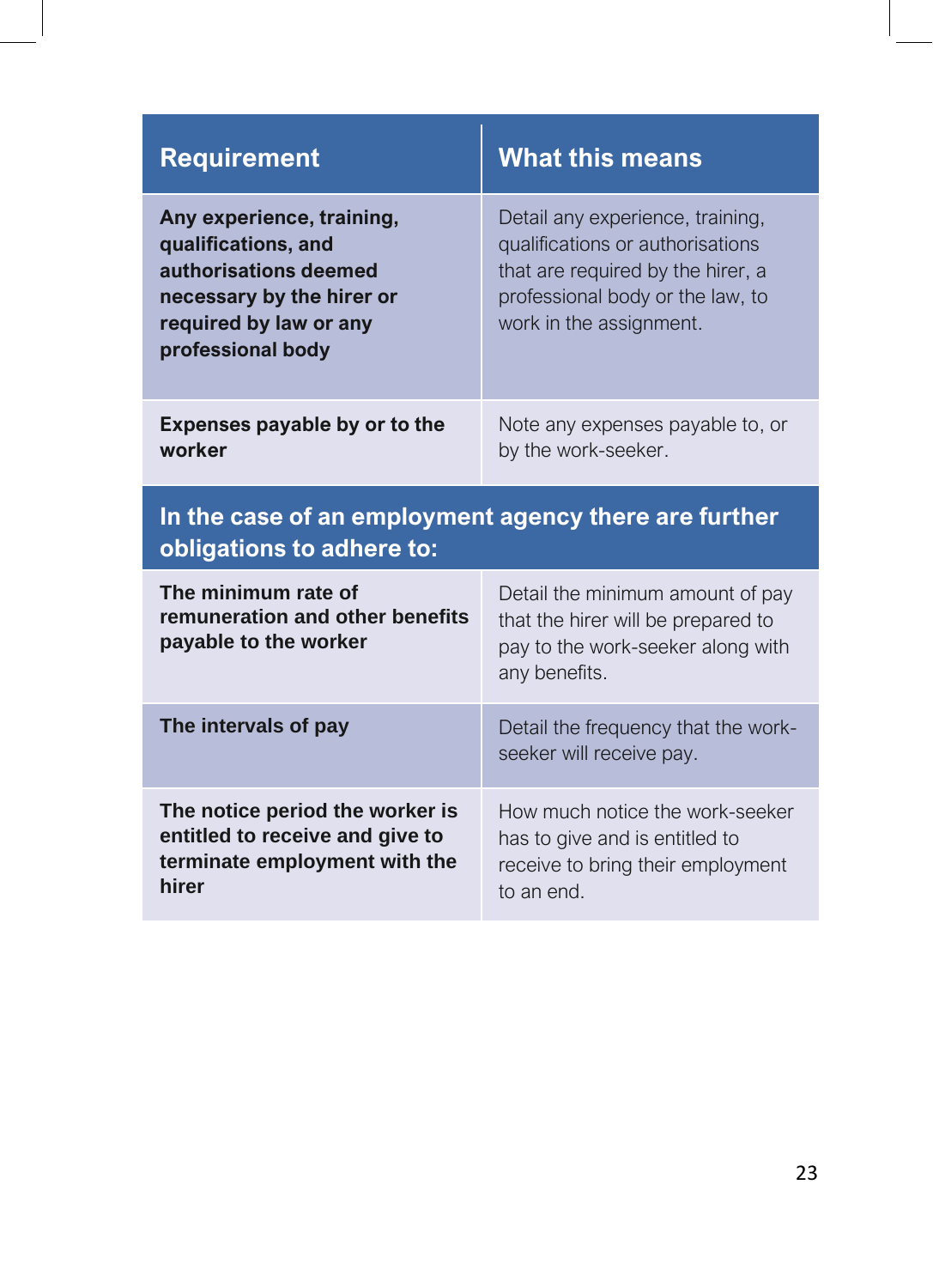<span id="page-22-0"></span>

| <b>Requirement</b>                                                                                                                                    | <b>What this means</b>                                                                                                                                                   |  |
|-------------------------------------------------------------------------------------------------------------------------------------------------------|--------------------------------------------------------------------------------------------------------------------------------------------------------------------------|--|
| Any experience, training,<br>qualifications, and<br>authorisations deemed<br>necessary by the hirer or<br>required by law or any<br>professional body | Detail any experience, training,<br>qualifications or authorisations<br>that are required by the hirer, a<br>professional body or the law, to<br>work in the assignment. |  |
| Expenses payable by or to the<br>worker                                                                                                               | Note any expenses payable to, or<br>by the work-seeker.                                                                                                                  |  |
| In the case of an employment agency there are further<br>obligations to adhere to:                                                                    |                                                                                                                                                                          |  |
| The minimum rate of<br>remuneration and other benefits                                                                                                | Detail the minimum amount of pay                                                                                                                                         |  |
| payable to the worker                                                                                                                                 | that the hirer will be prepared to<br>pay to the work-seeker along with<br>any benefits.                                                                                 |  |
| The intervals of pay                                                                                                                                  | Detail the frequency that the work-<br>seeker will receive pay.                                                                                                          |  |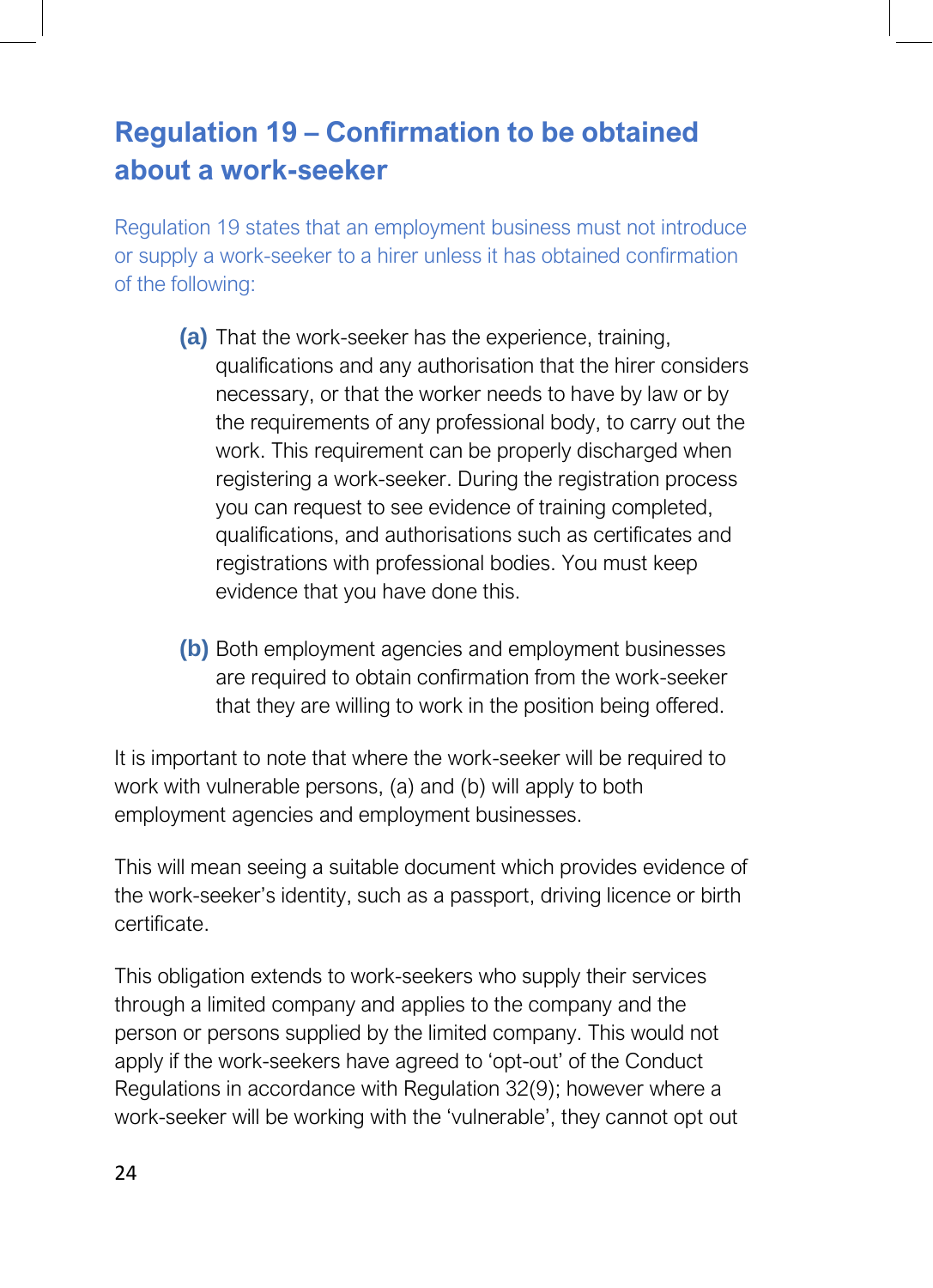# **Regulation 19 – Confirmation to be obtained about a work-seeker**

Regulation 19 states that an employment business must not introduce or supply a work-seeker to a hirer unless it has obtained confirmation of the following:

- <span id="page-23-0"></span>**(a)** That the work-seeker has the experience, training, qualifications and any authorisation that the hirer considers necessary, or that the worker needs to have by law or by the requirements of any professional body, to carry out the work. This requirement can be properly discharged when registering a work-seeker. During the registration process you can request to see evidence of training completed, qualifications, and authorisations such as certificates and registrations with professional bodies. You must keep evidence that you have done this.
- **(b)** Both employment agencies and employment businesses are required to obtain confirmation from the work-seeker that they are willing to work in the position being offered.

It is important to note that where the work-seeker will be required to work with vulnerable persons, (a) and (b) will apply to both employment agencies and employment businesses.

This will mean seeing a suitable document which provides evidence of the work-seeker's identity, such as a passport, driving licence or birth certificate.

This obligation extends to work-seekers who supply their services through a limited company and applies to the company and the person or persons supplied by the limited company. This would not apply if the work-seekers have agreed to 'opt-out' of the Conduct Regulations in accordance with Regulation 32(9); however where a work-seeker will be working with the 'vulnerable', they cannot opt out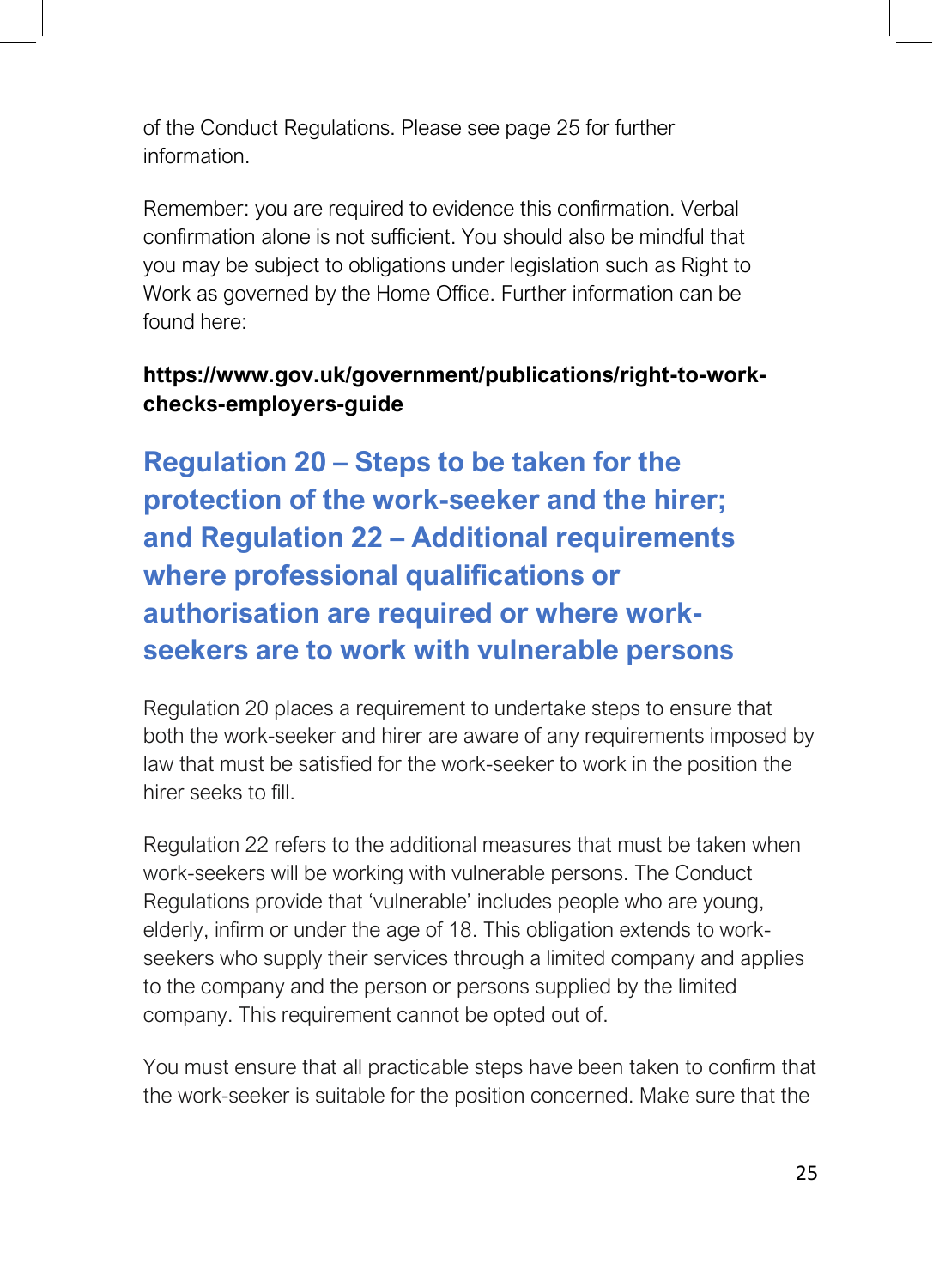of the Conduct Regulations. Please see page 25 for further information.

Remember: you are required to evidence this confirmation. Verbal confirmation alone is not sufficient. You should also be mindful that you may be subject to obligations under legislation such as Right to Work as governed by the Home Office. Further information can be found here:

#### **https://www.gov.uk/government/publications/right-to-workchecks-employers-guide**

**Regulation 20 – Steps to be taken for the protection of the work-seeker and the hirer; and Regulation 22 – Additional requirements where professional qualifications or authorisation are required or where workseekers are to work with vulnerable persons**

Regulation 20 places a requirement to undertake steps to ensure that both the work-seeker and hirer are aware of any requirements imposed by law that must be satisfied for the work-seeker to work in the position the hirer seeks to fill.

Regulation 22 refers to the additional measures that must be taken when work-seekers will be working with vulnerable persons. The Conduct Regulations provide that 'vulnerable' includes people who are young, elderly, infirm or under the age of 18. This obligation extends to workseekers who supply their services through a limited company and applies to the company and the person or persons supplied by the limited company. This requirement cannot be opted out of.

You must ensure that all practicable steps have been taken to confirm that the work-seeker is suitable for the position concerned. Make sure that the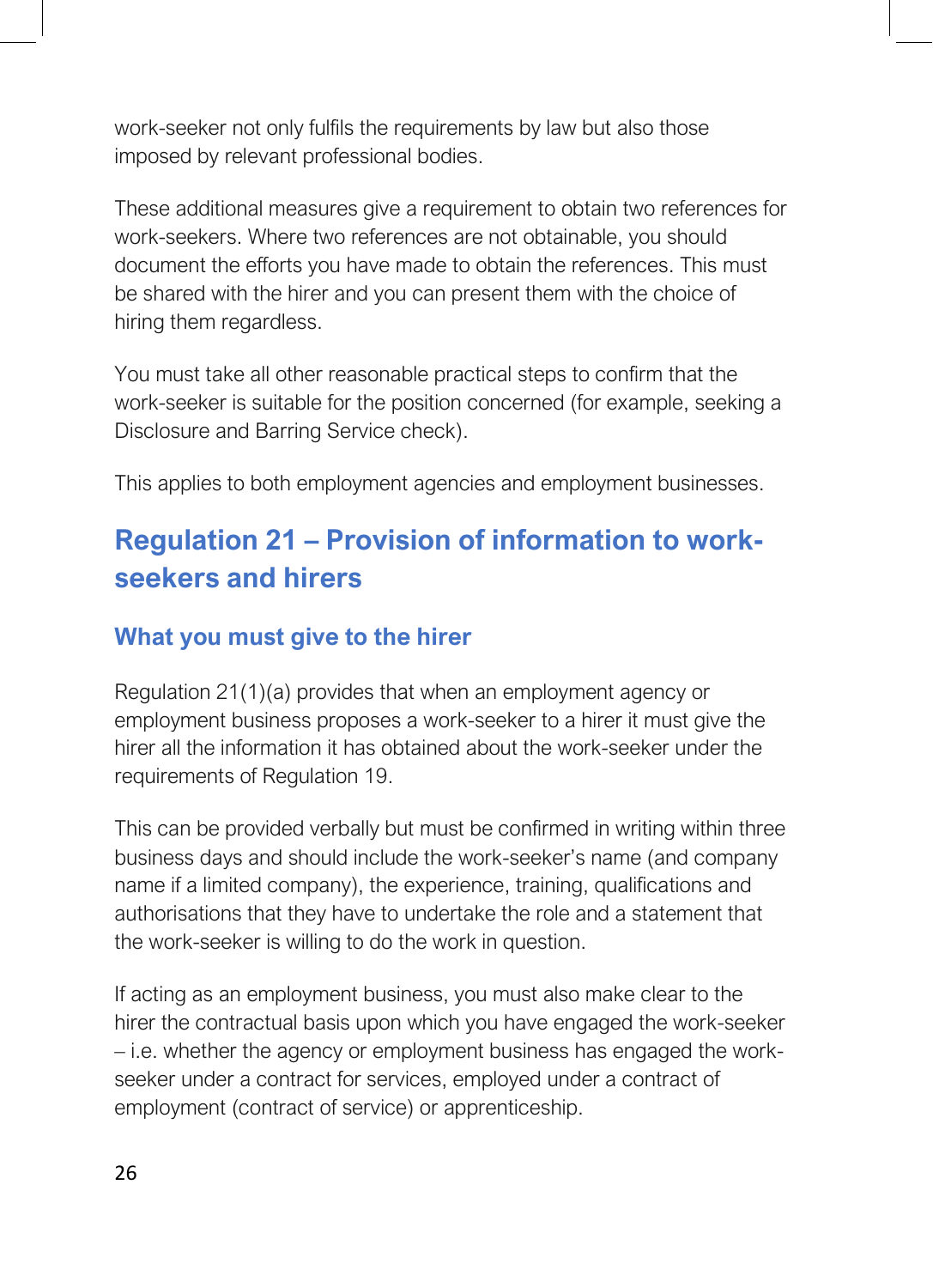work-seeker not only fulfils the requirements by law but also those imposed by relevant professional bodies.

These additional measures give a requirement to obtain two references for work-seekers. Where two references are not obtainable, you should document the efforts you have made to obtain the references. This must be shared with the hirer and you can present them with the choice of hiring them regardless.

You must take all other reasonable practical steps to confirm that the work-seeker is suitable for the position concerned (for example, seeking a Disclosure and Barring Service check).

This applies to both employment agencies and employment businesses.

# <span id="page-25-0"></span>**Regulation 21 – Provision of information to workseekers and hirers**

#### **What you must give to the hirer**

Regulation 21(1)(a) provides that when an employment agency or employment business proposes a work-seeker to a hirer it must give the hirer all the information it has obtained about the work-seeker under the requirements of Regulation 19.

This can be provided verbally but must be confirmed in writing within three business days and should include the work-seeker's name (and company name if a limited company), the experience, training, qualifications and authorisations that they have to undertake the role and a statement that the work-seeker is willing to do the work in question.

If acting as an employment business, you must also make clear to the hirer the contractual basis upon which you have engaged the work-seeker – i.e. whether the agency or employment business has engaged the workseeker under a contract for services, employed under a contract of employment (contract of service) or apprenticeship.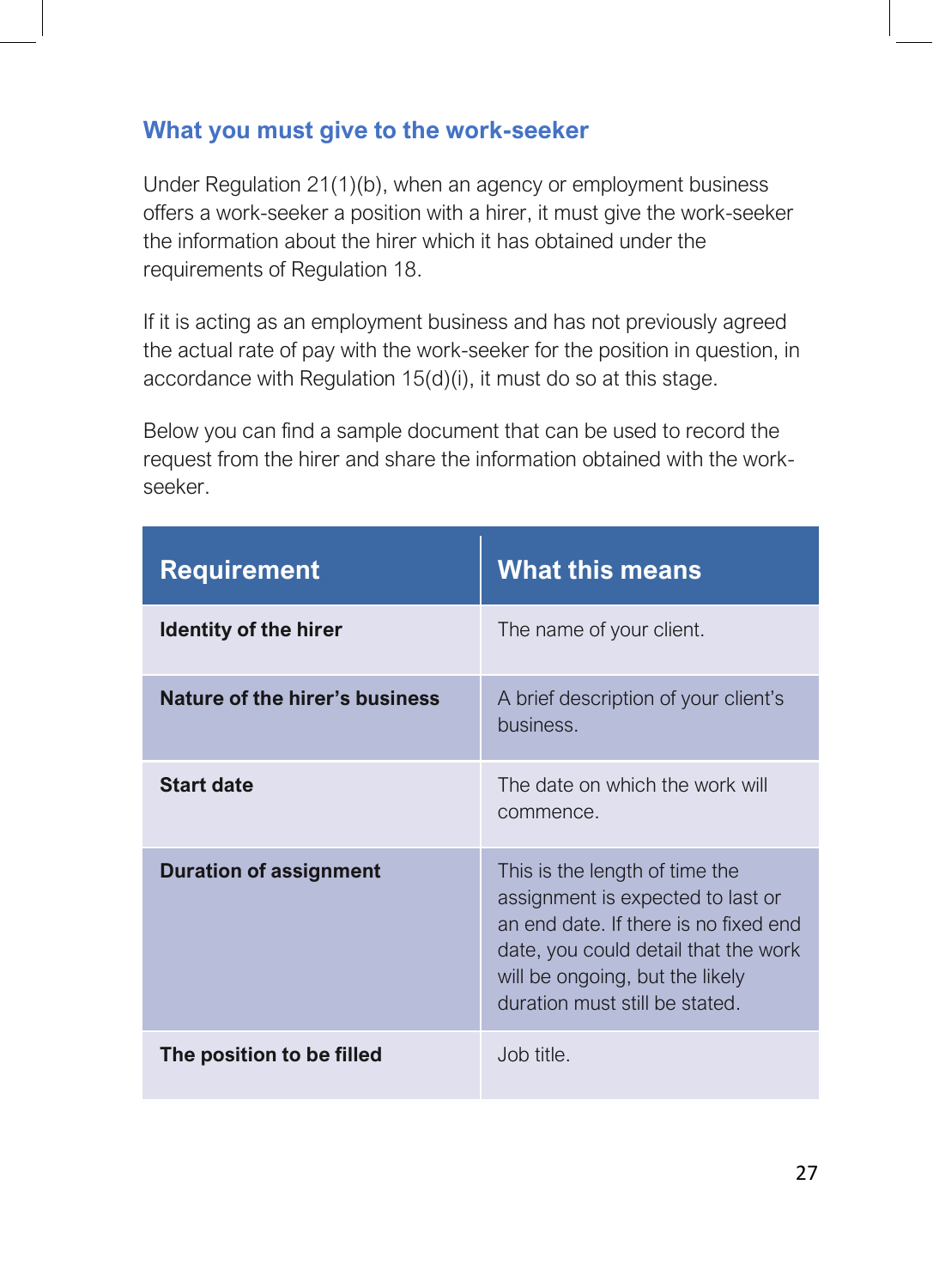#### **What you must give to the work-seeker**

Under Regulation 21(1)(b), when an agency or employment business offers a work-seeker a position with a hirer, it must give the work-seeker the information about the hirer which it has obtained under the requirements of Regulation 18.

If it is acting as an employment business and has not previously agreed the actual rate of pay with the work-seeker for the position in question, in accordance with Regulation 15(d)(i), it must do so at this stage.

Below you can find a sample document that can be used to record the request from the hirer and share the information obtained with the workseeker.

| <b>Requirement</b>             | <b>What this means</b>                                                                                                                                                                                                    |
|--------------------------------|---------------------------------------------------------------------------------------------------------------------------------------------------------------------------------------------------------------------------|
| <b>Identity of the hirer</b>   | The name of your client.                                                                                                                                                                                                  |
| Nature of the hirer's business | A brief description of your client's<br>business.                                                                                                                                                                         |
| <b>Start date</b>              | The date on which the work will<br>commence.                                                                                                                                                                              |
| <b>Duration of assignment</b>  | This is the length of time the<br>assignment is expected to last or<br>an end date. If there is no fixed end<br>date, you could detail that the work<br>will be ongoing, but the likely<br>duration must still be stated. |
| The position to be filled      | Job title.                                                                                                                                                                                                                |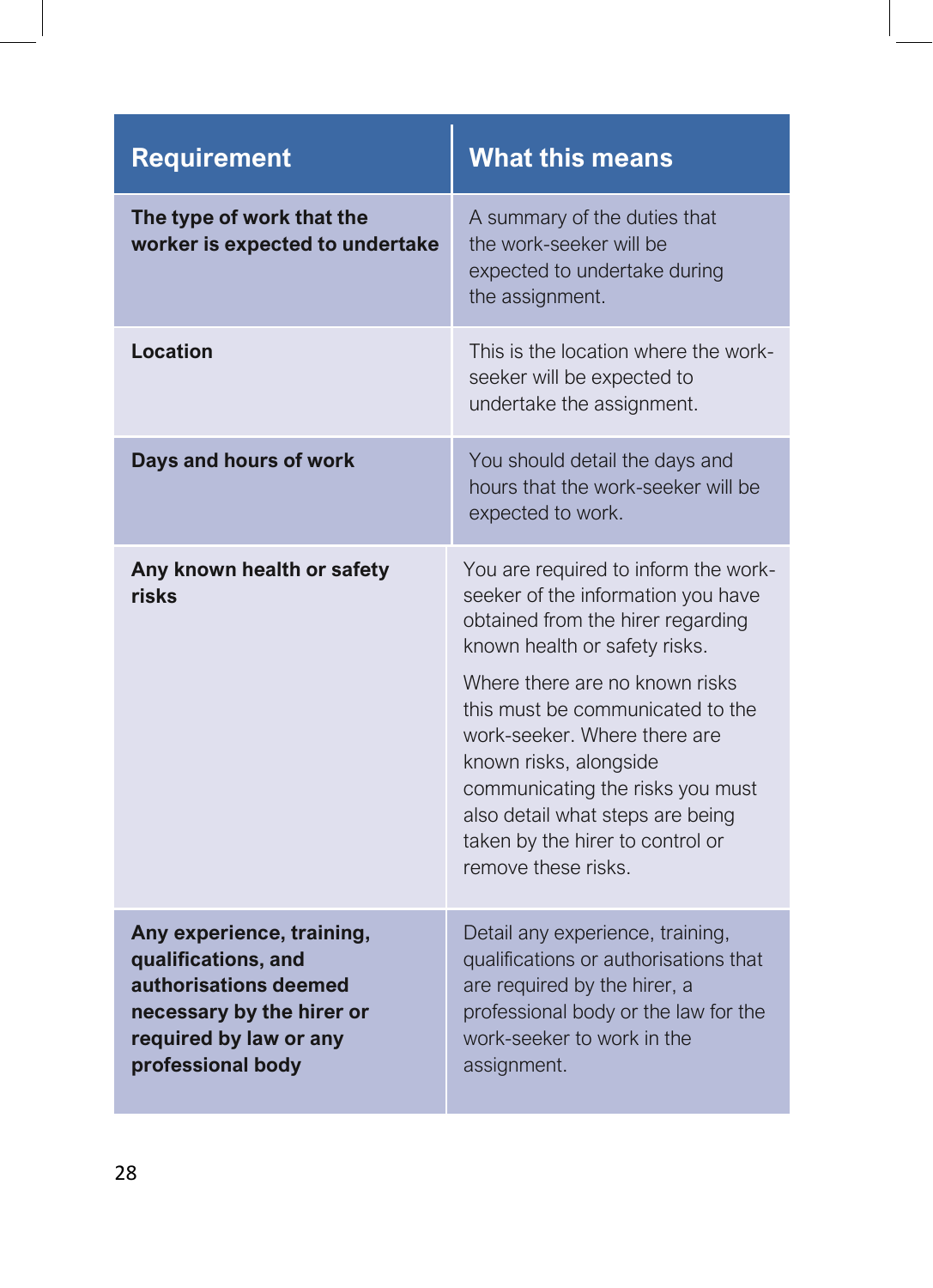| <b>Requirement</b>                                                                                                                                    | <b>What this means</b>                                                                                                                                                                                                                                                                                                                                                                                              |
|-------------------------------------------------------------------------------------------------------------------------------------------------------|---------------------------------------------------------------------------------------------------------------------------------------------------------------------------------------------------------------------------------------------------------------------------------------------------------------------------------------------------------------------------------------------------------------------|
| The type of work that the<br>worker is expected to undertake                                                                                          | A summary of the duties that<br>the work-seeker will be<br>expected to undertake during<br>the assignment.                                                                                                                                                                                                                                                                                                          |
| Location                                                                                                                                              | This is the location where the work-<br>seeker will be expected to<br>undertake the assignment.                                                                                                                                                                                                                                                                                                                     |
| Days and hours of work                                                                                                                                | You should detail the days and<br>hours that the work-seeker will be<br>expected to work.                                                                                                                                                                                                                                                                                                                           |
| Any known health or safety<br>risks                                                                                                                   | You are required to inform the work-<br>seeker of the information you have<br>obtained from the hirer regarding<br>known health or safety risks.<br>Where there are no known risks<br>this must be communicated to the<br>work-seeker. Where there are<br>known risks, alongside<br>communicating the risks you must<br>also detail what steps are being<br>taken by the hirer to control or<br>remove these risks. |
| Any experience, training,<br>qualifications, and<br>authorisations deemed<br>necessary by the hirer or<br>required by law or any<br>professional body | Detail any experience, training,<br>qualifications or authorisations that<br>are required by the hirer, a<br>professional body or the law for the<br>work-seeker to work in the<br>assignment.                                                                                                                                                                                                                      |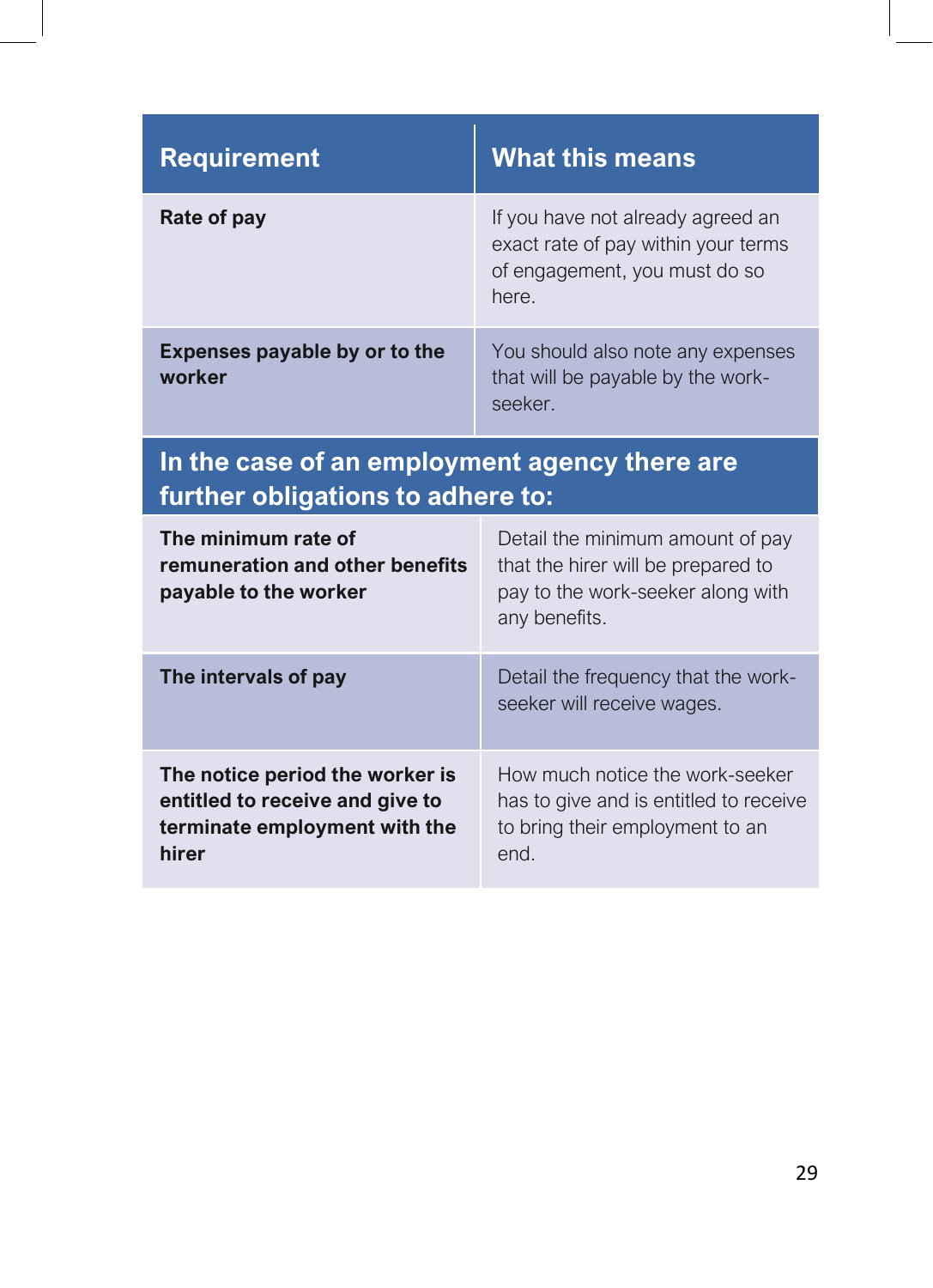| <b>Requirement</b>                      | <b>What this means</b>                                                                                             |
|-----------------------------------------|--------------------------------------------------------------------------------------------------------------------|
| Rate of pay                             | If you have not already agreed an<br>exact rate of pay within your terms<br>of engagement, you must do so<br>here. |
| Expenses payable by or to the<br>worker | You should also note any expenses<br>that will be payable by the work-<br>seeker.                                  |

# **In the case of an employment agency there are further obligations to adhere to:**

| The minimum rate of<br>remuneration and other benefits<br>payable to the worker                              | Detail the minimum amount of pay<br>that the hirer will be prepared to<br>pay to the work-seeker along with<br>any benefits. |
|--------------------------------------------------------------------------------------------------------------|------------------------------------------------------------------------------------------------------------------------------|
| The intervals of pay                                                                                         | Detail the frequency that the work-<br>seeker will receive wages.                                                            |
| The notice period the worker is<br>entitled to receive and give to<br>terminate employment with the<br>hirer | How much notice the work-seeker<br>has to give and is entitled to receive<br>to bring their employment to an<br>end.         |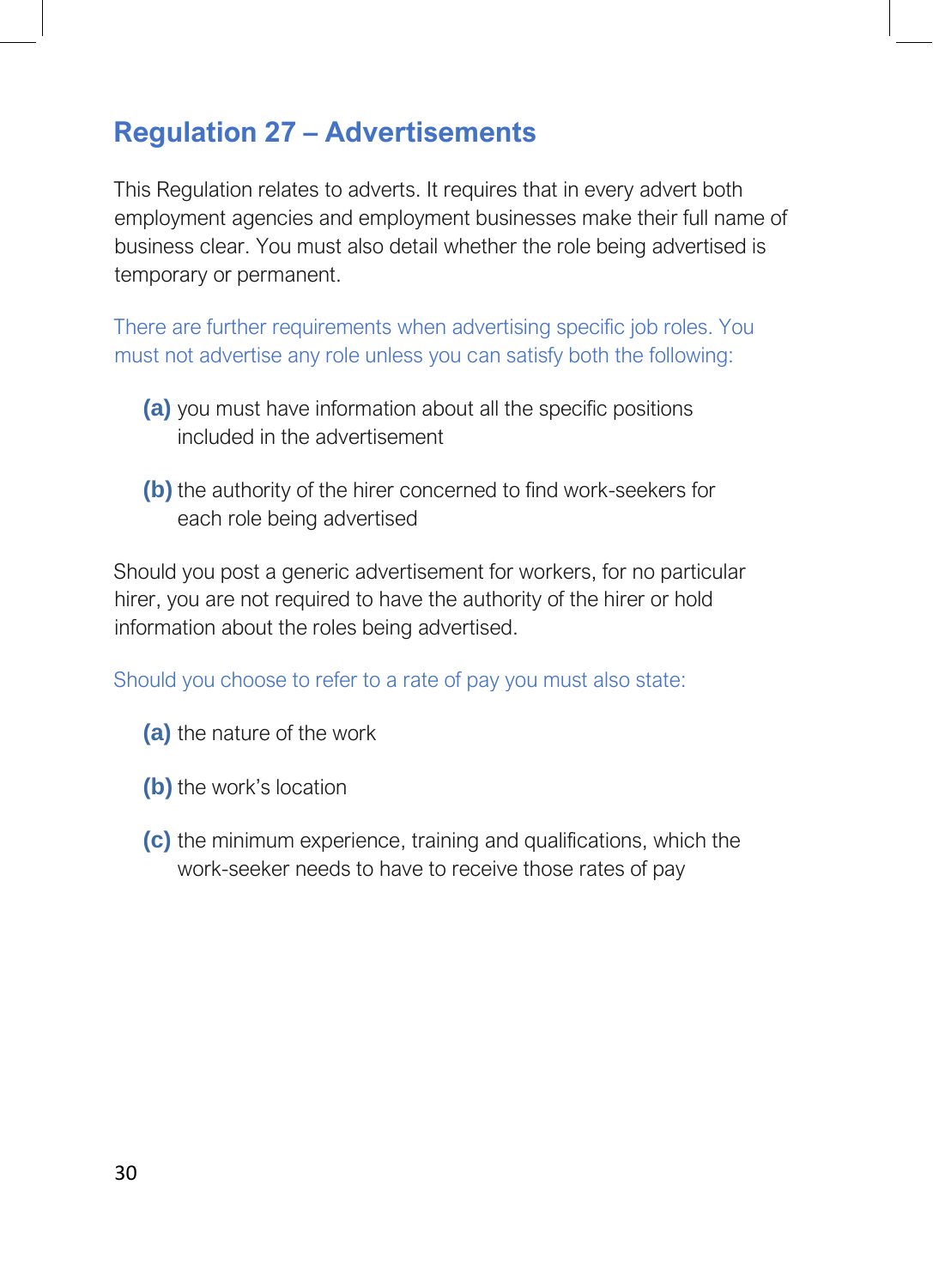### <span id="page-29-0"></span>**Regulation 27 – Advertisements**

This Regulation relates to adverts. It requires that in every advert both employment agencies and employment businesses make their full name of business clear. You must also detail whether the role being advertised is temporary or permanent.

There are further requirements when advertising specific job roles. You must not advertise any role unless you can satisfy both the following:

- **(a)** you must have information about all the specific positions included in the advertisement
- **(b)** the authority of the hirer concerned to find work-seekers for each role being advertised

Should you post a generic advertisement for workers, for no particular hirer, you are not required to have the authority of the hirer or hold information about the roles being advertised.

Should you choose to refer to a rate of pay you must also state:

- **(a)** the nature of the work
- **(b)** the work's location
- **(c)** the minimum experience, training and qualifications, which the work-seeker needs to have to receive those rates of pay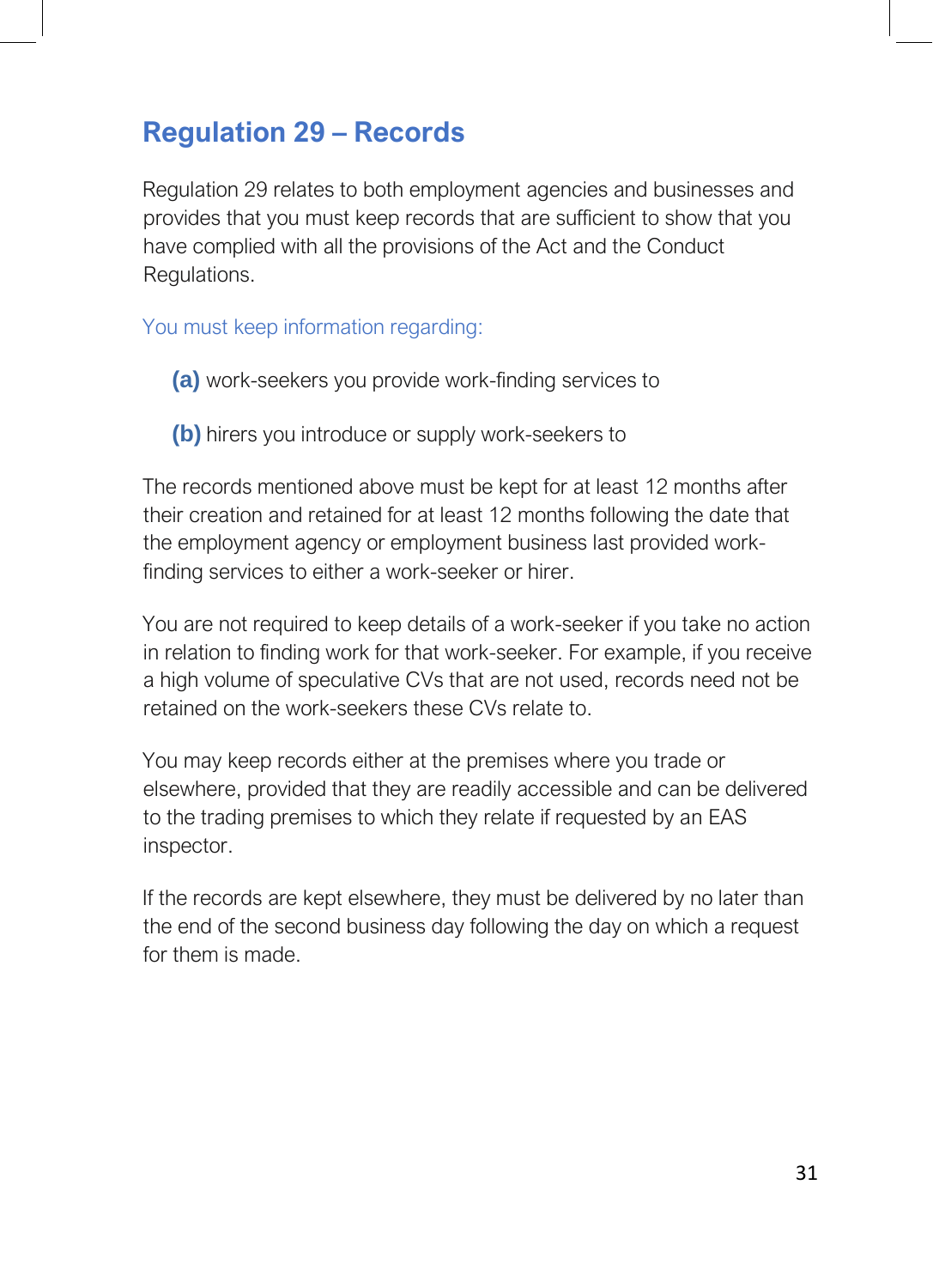### <span id="page-30-0"></span>**Regulation 29 – Records**

Regulation 29 relates to both employment agencies and businesses and provides that you must keep records that are sufficient to show that you have complied with all the provisions of the Act and the Conduct Regulations.

You must keep information regarding:

- **(a)** work-seekers you provide work-finding services to
- **(b)** hirers you introduce or supply work-seekers to

The records mentioned above must be kept for at least 12 months after their creation and retained for at least 12 months following the date that the employment agency or employment business last provided workfinding services to either a work-seeker or hirer.

You are not required to keep details of a work-seeker if you take no action in relation to finding work for that work-seeker. For example, if you receive a high volume of speculative CVs that are not used, records need not be retained on the work-seekers these CVs relate to.

You may keep records either at the premises where you trade or elsewhere, provided that they are readily accessible and can be delivered to the trading premises to which they relate if requested by an EAS inspector.

If the records are kept elsewhere, they must be delivered by no later than the end of the second business day following the day on which a request for them is made.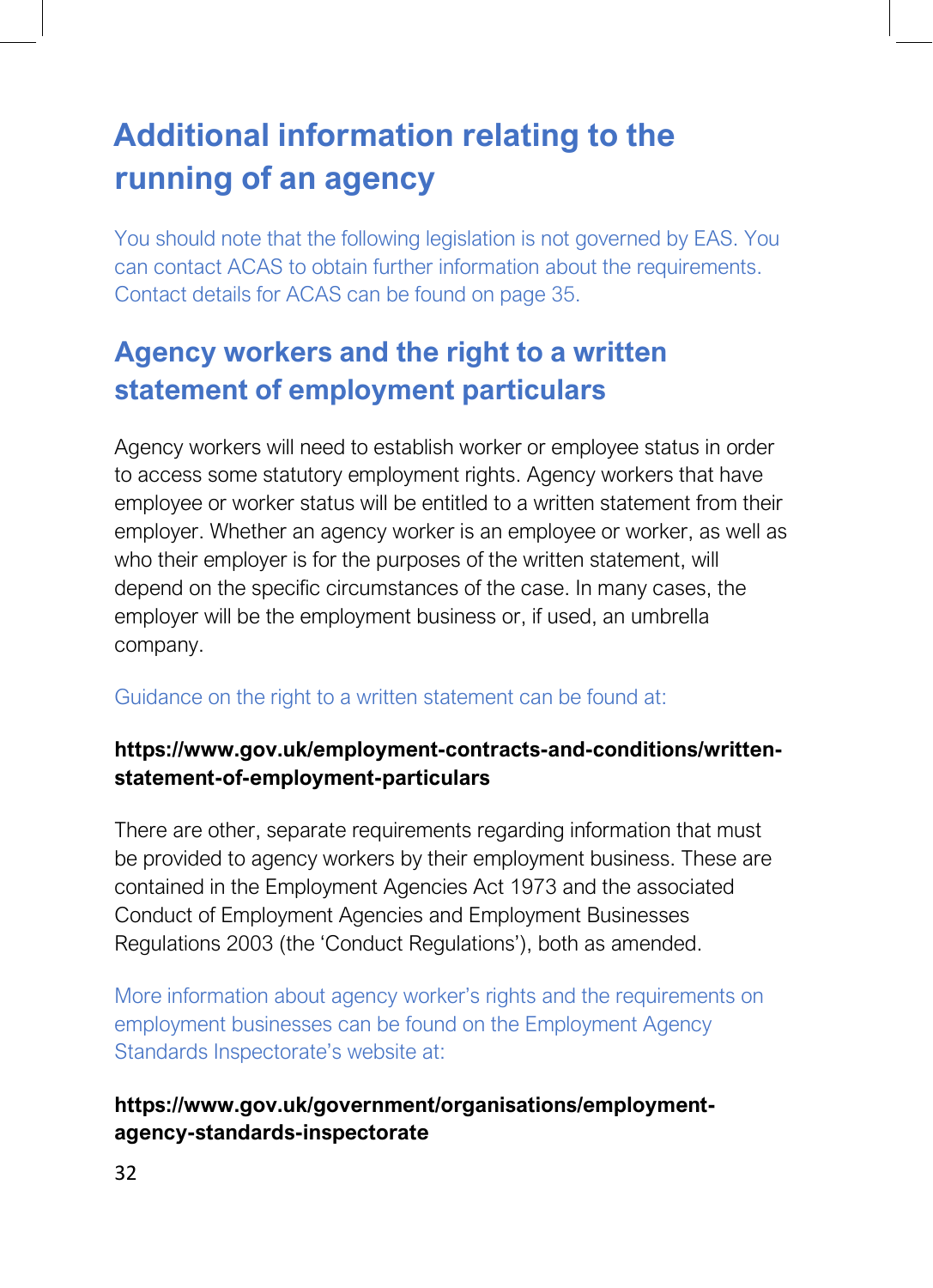# <span id="page-31-0"></span>**Additional information relating to the running of an agency**

You should note that the following legislation is not governed by EAS. You can contact ACAS to obtain further information about the requirements. Contact details for ACAS can be found on page 35.

# **Agency workers and the right to a written statement of employment particulars**

Agency workers will need to establish worker or employee status in order to access some statutory employment rights. Agency workers that have employee or worker status will be entitled to a written statement from their employer. Whether an agency worker is an employee or worker, as well as who their employer is for the purposes of the written statement, will depend on the specific circumstances of the case. In many cases, the employer will be the employment business or, if used, an umbrella company.

#### Guidance on the right to a written statement can be found at:

#### **https://www.gov.uk/employment-contracts-and-conditions/writtenstatement-of-employment-particulars**

There are other, separate requirements regarding information that must be provided to agency workers by their employment business. These are contained in the Employment Agencies Act 1973 and the associated Conduct of Employment Agencies and Employment Businesses Regulations 2003 (the 'Conduct Regulations'), both as amended.

More information about agency worker's rights and the requirements on employment businesses can be found on the Employment Agency Standards Inspectorate's website at:

#### **https://www.gov.uk/government/organisations/employmentagency-standards-inspectorate**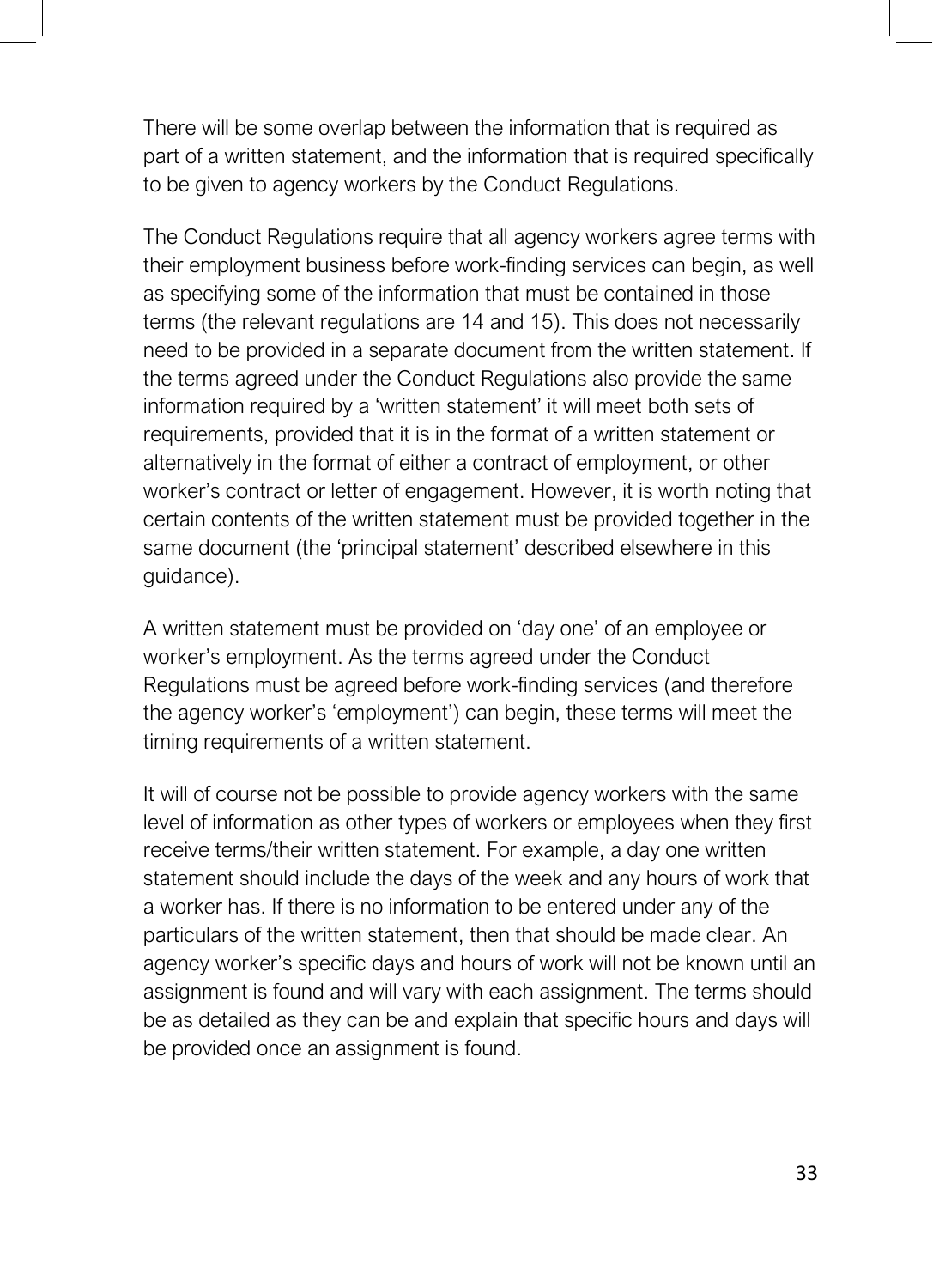There will be some overlap between the information that is required as part of a written statement, and the information that is required specifically to be given to agency workers by the Conduct Regulations.

The Conduct Regulations require that all agency workers agree terms with their employment business before work-finding services can begin, as well as specifying some of the information that must be contained in those terms (the relevant regulations are 14 and 15). This does not necessarily need to be provided in a separate document from the written statement. If the terms agreed under the Conduct Regulations also provide the same information required by a 'written statement' it will meet both sets of requirements, provided that it is in the format of a written statement or alternatively in the format of either a contract of employment, or other worker's contract or letter of engagement. However, it is worth noting that certain contents of the written statement must be provided together in the same document (the 'principal statement' described elsewhere in this guidance).

A written statement must be provided on 'day one' of an employee or worker's employment. As the terms agreed under the Conduct Regulations must be agreed before work-finding services (and therefore the agency worker's 'employment') can begin, these terms will meet the timing requirements of a written statement.

It will of course not be possible to provide agency workers with the same level of information as other types of workers or employees when they first receive terms/their written statement. For example, a day one written statement should include the days of the week and any hours of work that a worker has. If there is no information to be entered under any of the particulars of the written statement, then that should be made clear. An agency worker's specific days and hours of work will not be known until an assignment is found and will vary with each assignment. The terms should be as detailed as they can be and explain that specific hours and days will be provided once an assignment is found.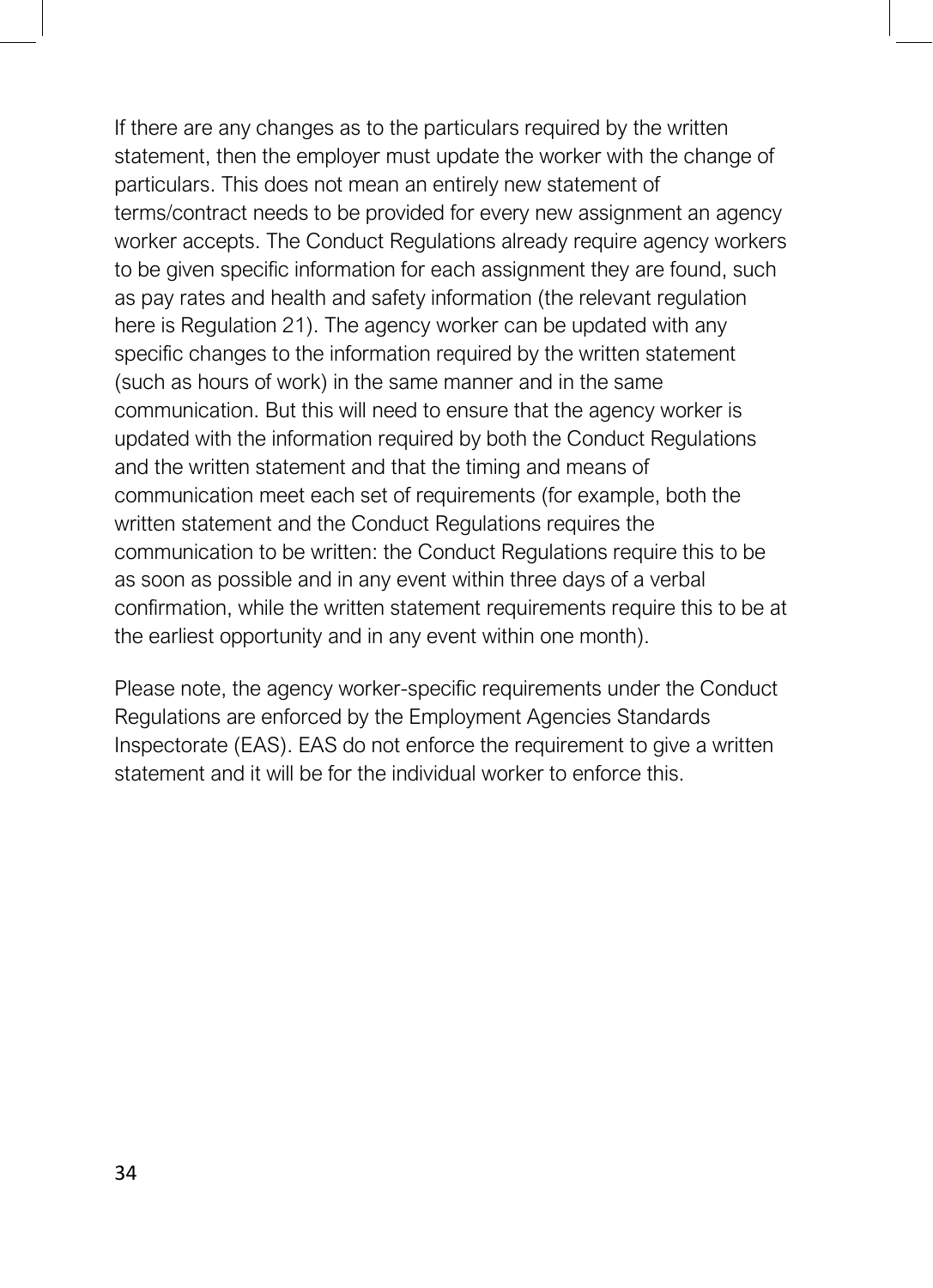If there are any changes as to the particulars required by the written statement, then the employer must update the worker with the change of particulars. This does not mean an entirely new statement of terms/contract needs to be provided for every new assignment an agency worker accepts. The Conduct Regulations already require agency workers to be given specific information for each assignment they are found, such as pay rates and health and safety information (the relevant regulation here is Regulation 21). The agency worker can be updated with any specific changes to the information required by the written statement (such as hours of work) in the same manner and in the same communication. But this will need to ensure that the agency worker is updated with the information required by both the Conduct Regulations and the written statement and that the timing and means of communication meet each set of requirements (for example, both the written statement and the Conduct Regulations requires the communication to be written: the Conduct Regulations require this to be as soon as possible and in any event within three days of a verbal confirmation, while the written statement requirements require this to be at the earliest opportunity and in any event within one month).

Please note, the agency worker-specific requirements under the Conduct Regulations are enforced by the Employment Agencies Standards Inspectorate (EAS). EAS do not enforce the requirement to give a written statement and it will be for the individual worker to enforce this.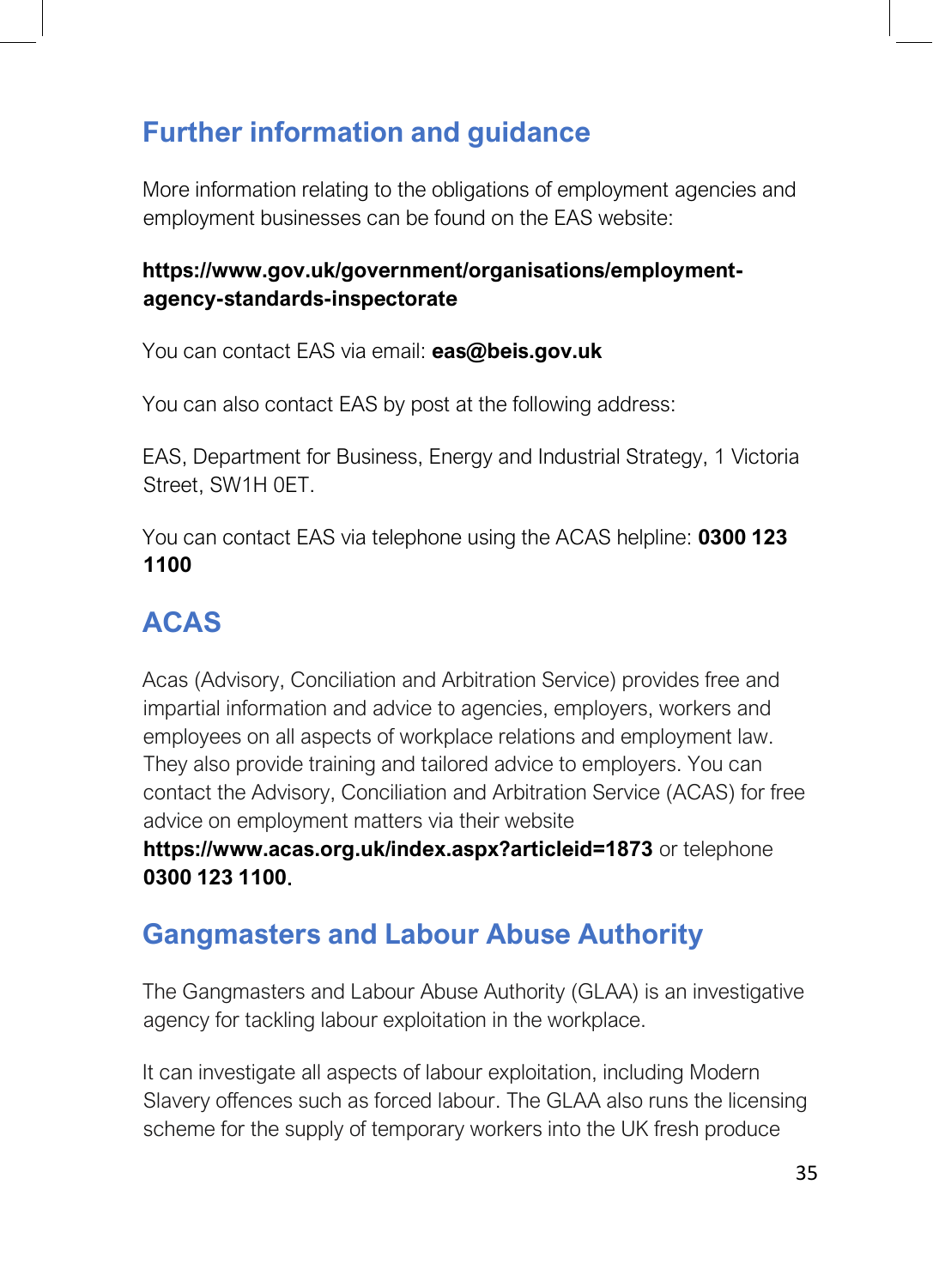# **Further information and guidance**

More information relating to the obligations of employment agencies and employment businesses can be found on the EAS website:

#### **https://www.gov.uk/government/organisations/employmentagency-standards-inspectorate**

You can contact EAS via email: **[eas@beis.gov.uk](mailto:eas@beis.gov.uk)**

You can also contact EAS by post at the following address:

EAS, Department for Business, Energy and Industrial Strategy, 1 Victoria Street, SW1H 0ET.

You can contact EAS via telephone using the ACAS helpline: **0300 123 1100**

# **ACAS**

Acas (Advisory, Conciliation and Arbitration Service) provides free and impartial information and advice to agencies, employers, workers and employees on all aspects of workplace relations and employment law. They also provide training and tailored advice to employers. You can contact the Advisory, Conciliation and Arbitration Service (ACAS) for free advice on employment matters via their website

**https://www.acas.org.uk/index.aspx?articleid=1873** or telephone **0300 123 1100**.

# **Gangmasters and Labour Abuse Authority**

The Gangmasters and Labour Abuse Authority (GLAA) is an investigative agency for tackling labour exploitation in the workplace.

It can investigate all aspects of labour exploitation, including Modern Slavery offences such as forced labour. The GLAA also runs the licensing scheme for the supply of temporary workers into the UK fresh produce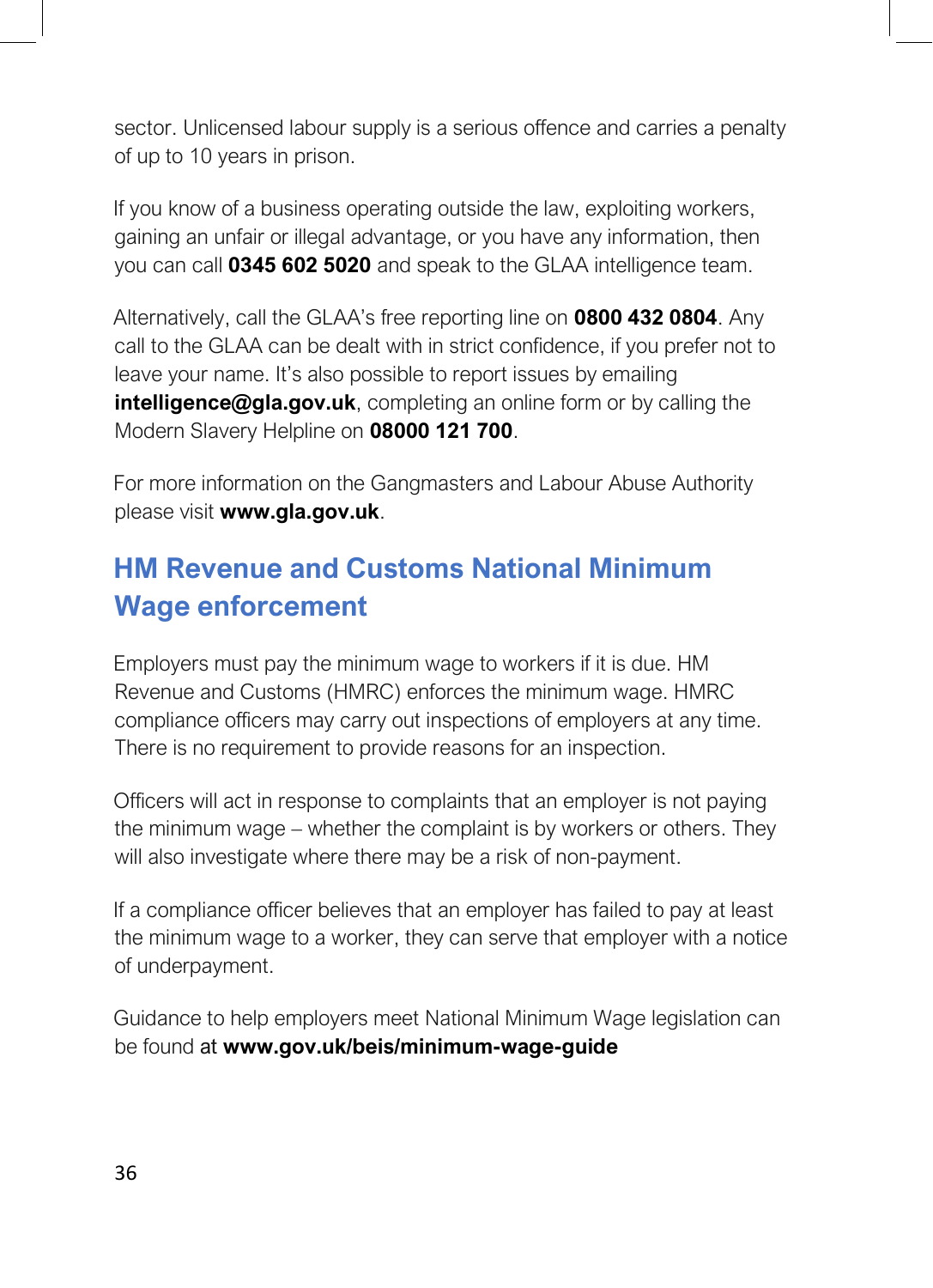sector. Unlicensed labour supply is a serious offence and carries a penalty of up to 10 years in prison.

If you know of a business operating outside the law, exploiting workers, gaining an unfair or illegal advantage, or you have any information, then you can call **0345 602 5020** and speak to the GLAA intelligence team.

Alternatively, call the GLAA's free reporting line on **0800 432 0804**. Any call to the GLAA can be dealt with in strict confidence, if you prefer not to leave your name. It's also possible to report issues by emailing **intelligence@gla.gov.uk**, completing an online form or by calling the Modern Slavery Helpline on **08000 121 700**.

For more information on the Gangmasters and Labour Abuse Authority please visit **[www.gla.gov.uk](http://www.gla.gov.uk/)**.

# **HM Revenue and Customs National Minimum Wage enforcement**

Employers must pay the minimum wage to workers if it is due. HM Revenue and Customs (HMRC) enforces the minimum wage. HMRC compliance officers may carry out inspections of employers at any time. There is no requirement to provide reasons for an inspection.

Officers will act in response to complaints that an employer is not paying the minimum wage – whether the complaint is by workers or others. They will also investigate where there may be a risk of non-payment.

If a compliance officer believes that an employer has failed to pay at least the minimum wage to a worker, they can serve that employer with a notice of underpayment.

Guidance to help employers meet National Minimum Wage legislation can be found at **[www.gov.uk/beis/minimum-wage-guide](http://www.gov.uk/beis/minimum-wage-guide)**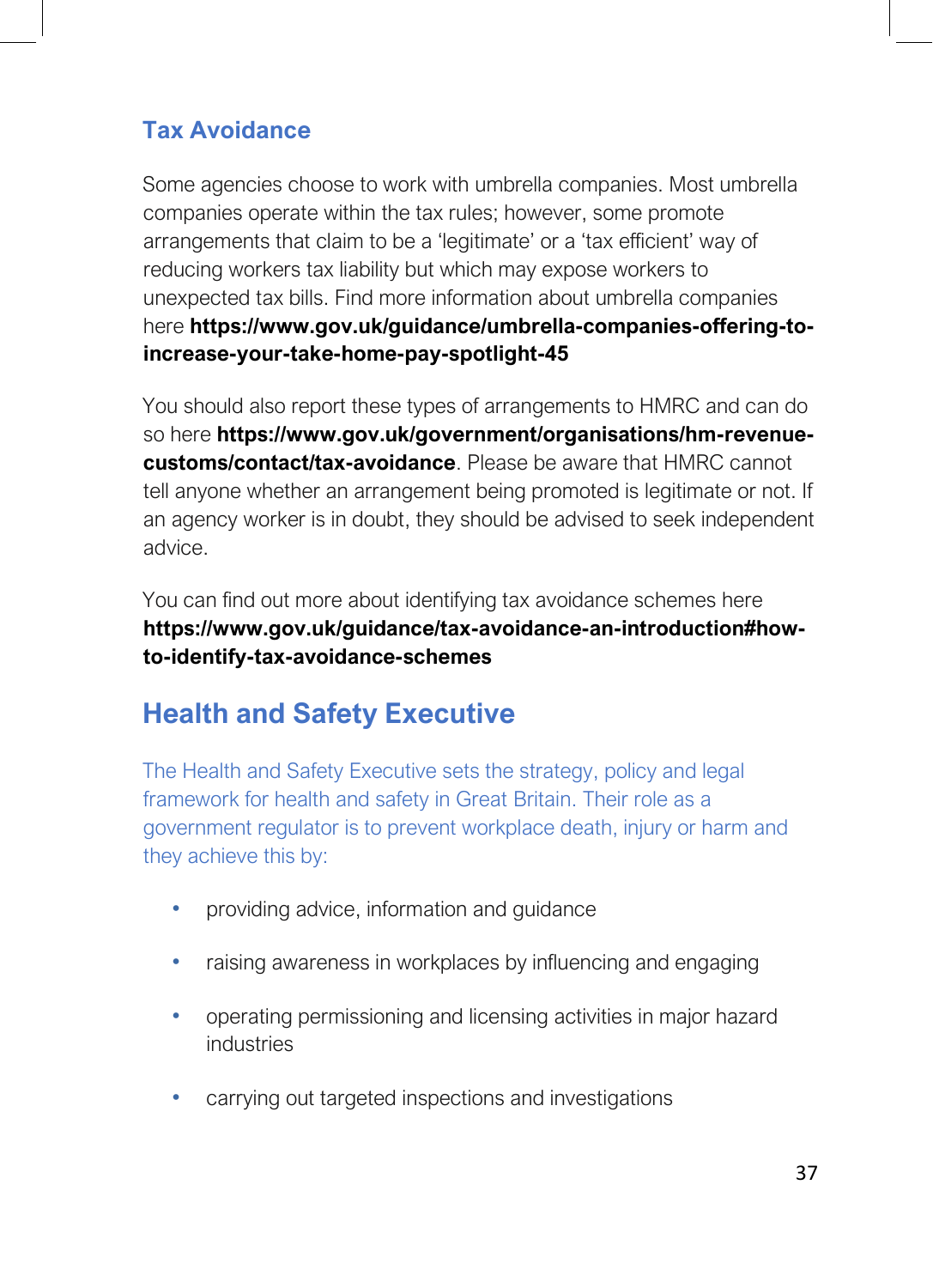#### **Tax Avoidance**

Some agencies choose to work with umbrella companies. Most umbrella companies operate within the tax rules; however, some promote arrangements that claim to be a 'legitimate' or a 'tax efficient' way of reducing workers tax liability but which may expose workers to unexpected tax bills. Find more information about umbrella companies here **https://www.gov.uk/guidance/umbrella-companies-offering-toincrease-your-take-home-pay-spotlight-45**

You should also report these types of arrangements to HMRC and can do so here **https://www.gov.uk/government/organisations/hm-revenuecustoms/contact/tax-avoidance**. Please be aware that HMRC cannot tell anyone whether an arrangement being promoted is legitimate or not. If an agency worker is in doubt, they should be advised to seek independent advice.

You can find out more about identifying tax avoidance schemes here **https://www.gov.uk/guidance/tax-avoidance-an-introduction#howto-identify-tax-avoidance-schemes**

# **Health and Safety Executive**

The Health and Safety Executive sets the strategy, policy and legal framework for health and safety in Great Britain. Their role as a government regulator is to prevent workplace death, injury or harm and they achieve this by:

- providing advice, information and guidance
- raising awareness in workplaces by influencing and engaging
- operating permissioning and licensing activities in major hazard industries
- carrying out targeted inspections and investigations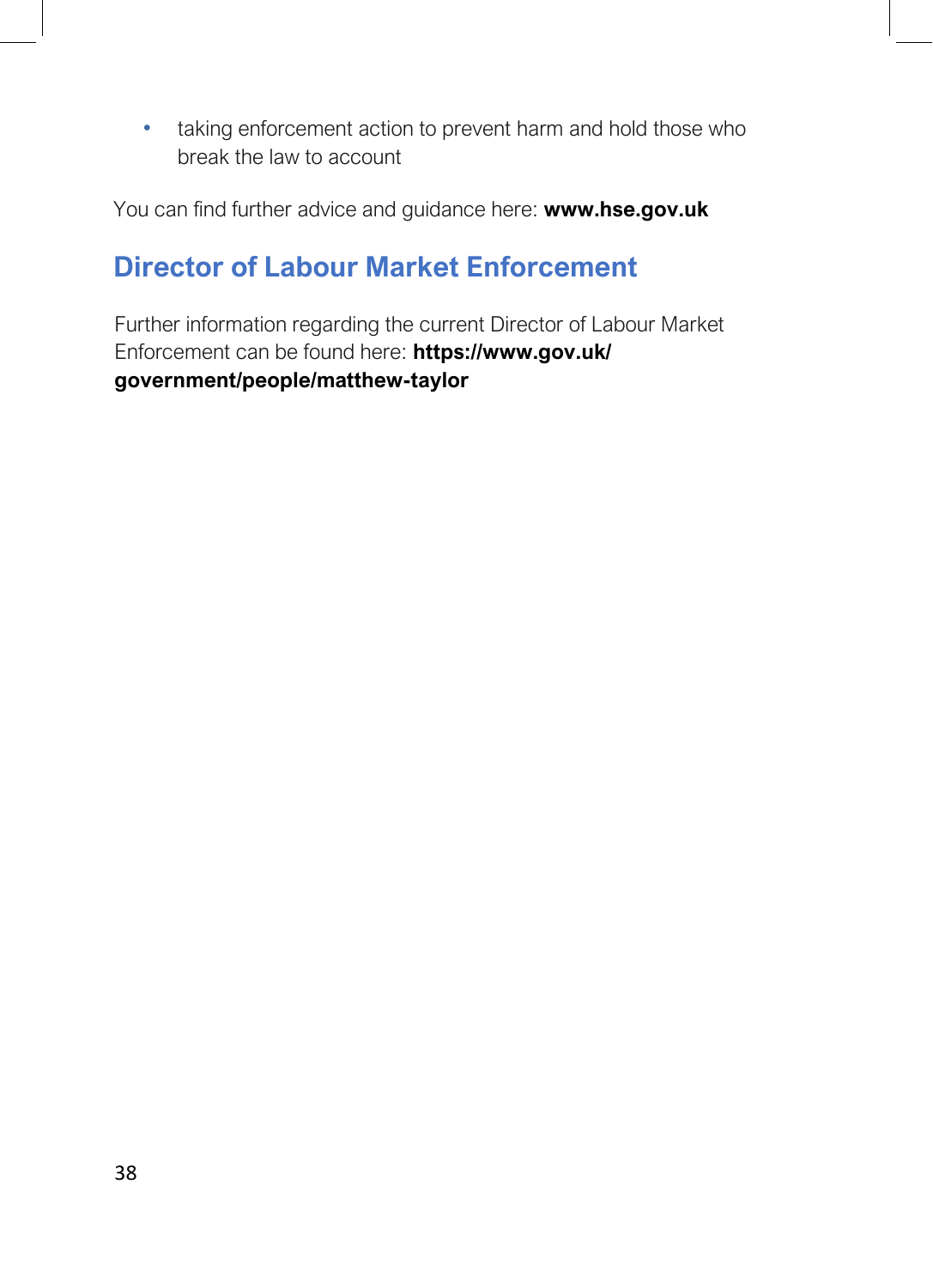• taking enforcement action to prevent harm and hold those who break the law to account

You can find further advice and guidance here: **www.hse.gov.uk**

# **Director of Labour Market Enforcement**

Further information regarding the current Director of Labour Market Enforcement can be found here: **https://www.gov.uk/ government/people/matthew-taylor**